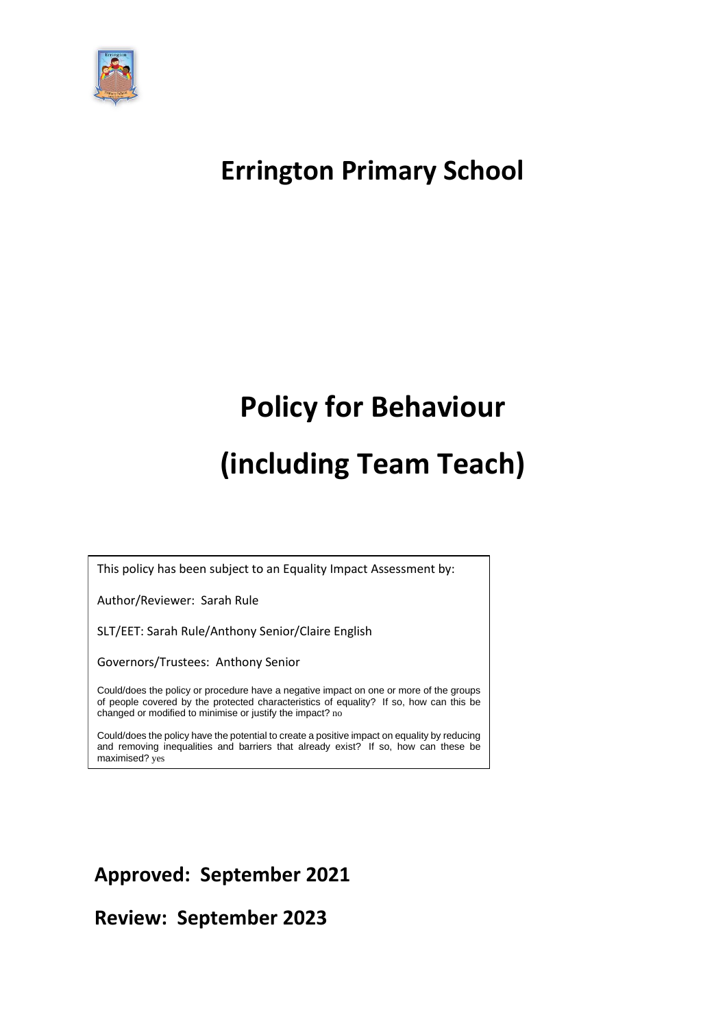

# **Errington Primary School**

# **Policy for Behaviour (including Team Teach)**

This policy has been subject to an Equality Impact Assessment by:

Author/Reviewer: Sarah Rule

SLT/EET: Sarah Rule/Anthony Senior/Claire English

Governors/Trustees: Anthony Senior

Could/does the policy or procedure have a negative impact on one or more of the groups of people covered by the protected characteristics of equality? If so, how can this be changed or modified to minimise or justify the impact? no

Could/does the policy have the potential to create a positive impact on equality by reducing and removing inequalities and barriers that already exist? If so, how can these be maximised? yes

## **Approved: September 2021**

**Review: September 2023**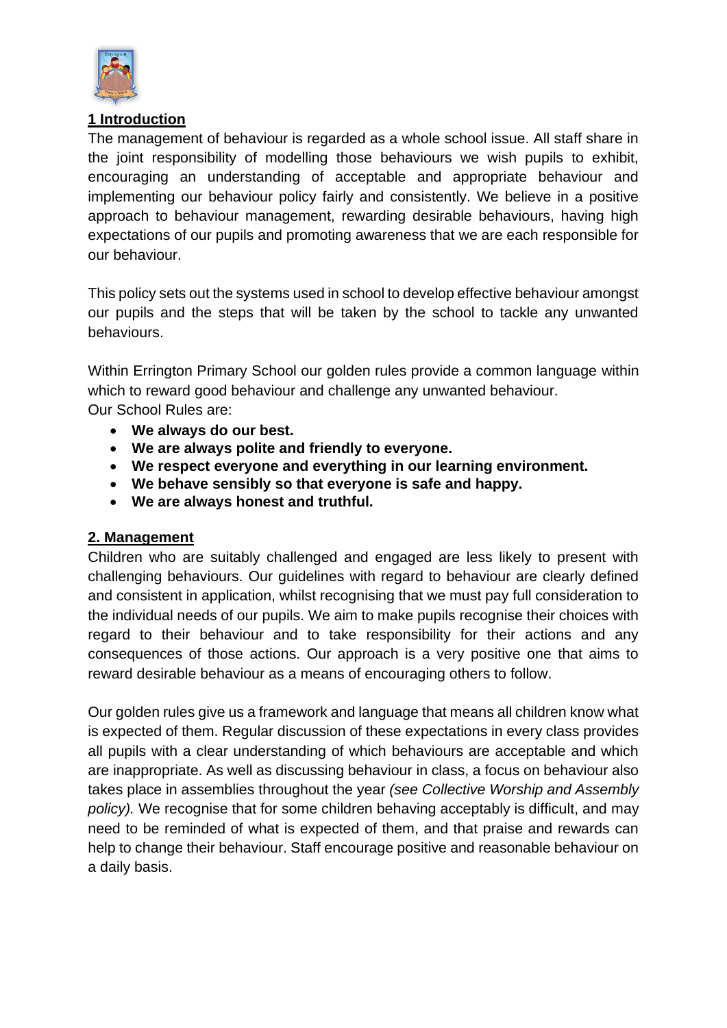

#### **1 Introduction**

The management of behaviour is regarded as a whole school issue. All staff share in the joint responsibility of modelling those behaviours we wish pupils to exhibit, encouraging an understanding of acceptable and appropriate behaviour and implementing our behaviour policy fairly and consistently. We believe in a positive approach to behaviour management, rewarding desirable behaviours, having high expectations of our pupils and promoting awareness that we are each responsible for our behaviour.

This policy sets out the systems used in school to develop effective behaviour amongst our pupils and the steps that will be taken by the school to tackle any unwanted behaviours.

Within Errington Primary School our golden rules provide a common language within which to reward good behaviour and challenge any unwanted behaviour. Our School Rules are:

- **We always do our best.**
- **We are always polite and friendly to everyone.**
- **We respect everyone and everything in our learning environment.**
- **We behave sensibly so that everyone is safe and happy.**
- **We are always honest and truthful.**

#### **2. Management**

Children who are suitably challenged and engaged are less likely to present with challenging behaviours. Our guidelines with regard to behaviour are clearly defined and consistent in application, whilst recognising that we must pay full consideration to the individual needs of our pupils. We aim to make pupils recognise their choices with regard to their behaviour and to take responsibility for their actions and any consequences of those actions. Our approach is a very positive one that aims to reward desirable behaviour as a means of encouraging others to follow.

Our golden rules give us a framework and language that means all children know what is expected of them. Regular discussion of these expectations in every class provides all pupils with a clear understanding of which behaviours are acceptable and which are inappropriate. As well as discussing behaviour in class, a focus on behaviour also takes place in assemblies throughout the year *(see Collective Worship and Assembly policy).* We recognise that for some children behaving acceptably is difficult, and may need to be reminded of what is expected of them, and that praise and rewards can help to change their behaviour. Staff encourage positive and reasonable behaviour on a daily basis.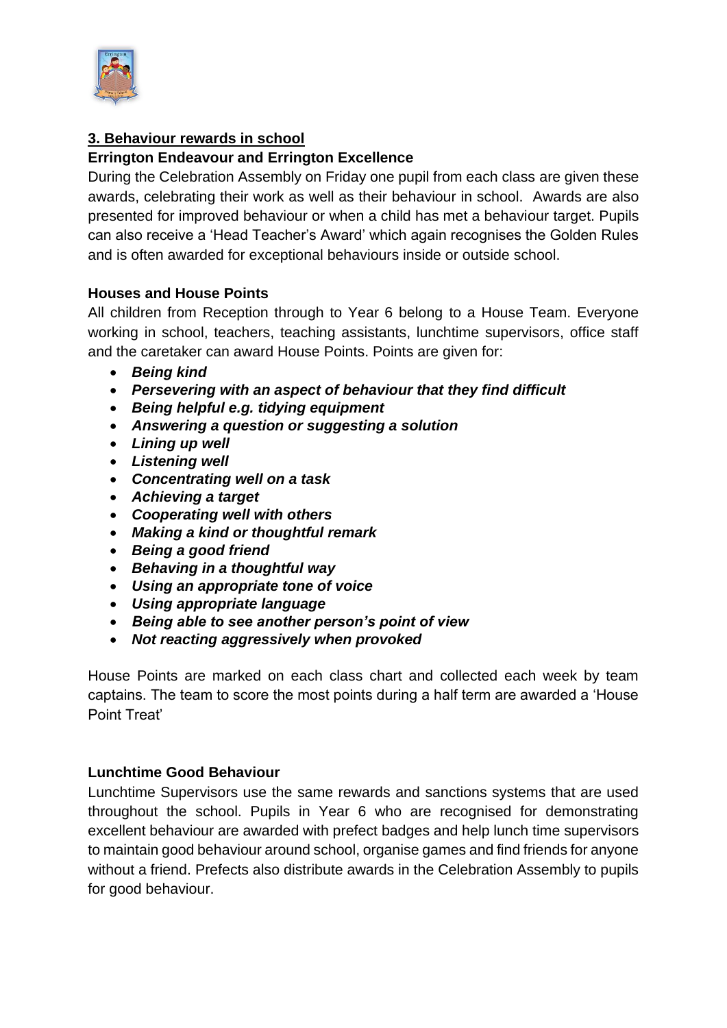

#### **3. Behaviour rewards in school**

#### **Errington Endeavour and Errington Excellence**

During the Celebration Assembly on Friday one pupil from each class are given these awards, celebrating their work as well as their behaviour in school. Awards are also presented for improved behaviour or when a child has met a behaviour target. Pupils can also receive a 'Head Teacher's Award' which again recognises the Golden Rules and is often awarded for exceptional behaviours inside or outside school.

#### **Houses and House Points**

All children from Reception through to Year 6 belong to a House Team. Everyone working in school, teachers, teaching assistants, lunchtime supervisors, office staff and the caretaker can award House Points. Points are given for:

- *Being kind*
- *Persevering with an aspect of behaviour that they find difficult*
- *Being helpful e.g. tidying equipment*
- *Answering a question or suggesting a solution*
- *Lining up well*
- *Listening well*
- *Concentrating well on a task*
- *Achieving a target*
- *Cooperating well with others*
- *Making a kind or thoughtful remark*
- *Being a good friend*
- *Behaving in a thoughtful way*
- *Using an appropriate tone of voice*
- *Using appropriate language*
- *Being able to see another person's point of view*
- *Not reacting aggressively when provoked*

House Points are marked on each class chart and collected each week by team captains. The team to score the most points during a half term are awarded a 'House Point Treat'

#### **Lunchtime Good Behaviour**

Lunchtime Supervisors use the same rewards and sanctions systems that are used throughout the school. Pupils in Year 6 who are recognised for demonstrating excellent behaviour are awarded with prefect badges and help lunch time supervisors to maintain good behaviour around school, organise games and find friends for anyone without a friend. Prefects also distribute awards in the Celebration Assembly to pupils for good behaviour.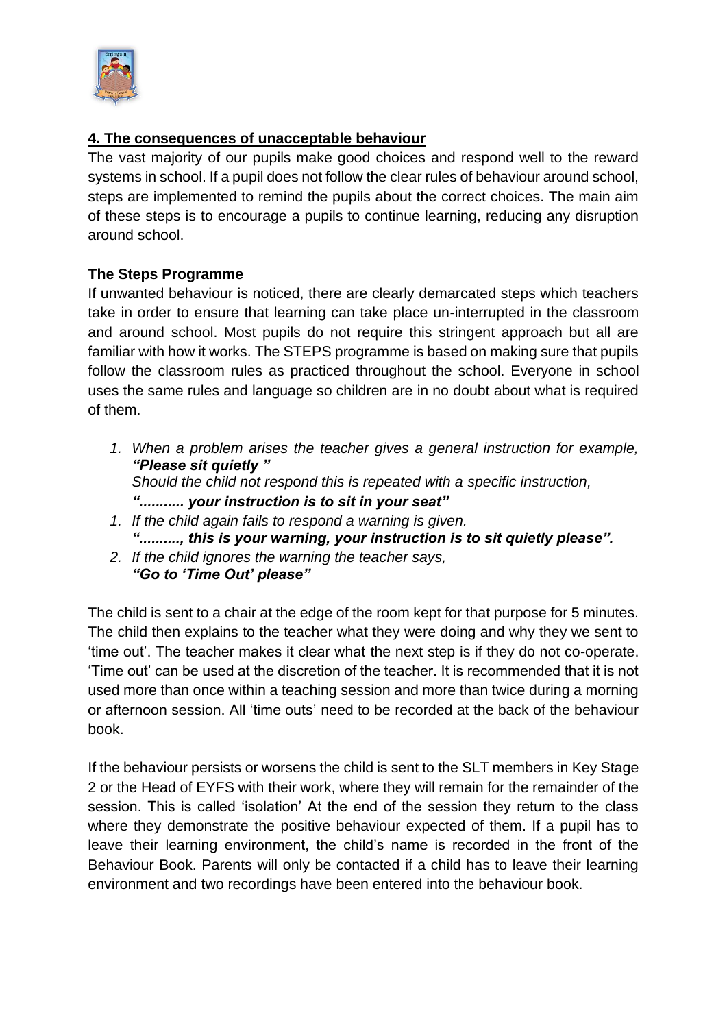

#### **4. The consequences of unacceptable behaviour**

The vast majority of our pupils make good choices and respond well to the reward systems in school. If a pupil does not follow the clear rules of behaviour around school, steps are implemented to remind the pupils about the correct choices. The main aim of these steps is to encourage a pupils to continue learning, reducing any disruption around school.

#### **The Steps Programme**

If unwanted behaviour is noticed, there are clearly demarcated steps which teachers take in order to ensure that learning can take place un-interrupted in the classroom and around school. Most pupils do not require this stringent approach but all are familiar with how it works. The STEPS programme is based on making sure that pupils follow the classroom rules as practiced throughout the school. Everyone in school uses the same rules and language so children are in no doubt about what is required of them.

- *1. When a problem arises the teacher gives a general instruction for example, "Please sit quietly " Should the child not respond this is repeated with a specific instruction, "........... your instruction is to sit in your seat" 1. If the child again fails to respond a warning is given.*
- *".........., this is your warning, your instruction is to sit quietly please".*
- *2. If the child ignores the warning the teacher says, "Go to 'Time Out' please"*

The child is sent to a chair at the edge of the room kept for that purpose for 5 minutes. The child then explains to the teacher what they were doing and why they we sent to 'time out'. The teacher makes it clear what the next step is if they do not co-operate. 'Time out' can be used at the discretion of the teacher. It is recommended that it is not used more than once within a teaching session and more than twice during a morning or afternoon session. All 'time outs' need to be recorded at the back of the behaviour book.

If the behaviour persists or worsens the child is sent to the SLT members in Key Stage 2 or the Head of EYFS with their work, where they will remain for the remainder of the session. This is called 'isolation' At the end of the session they return to the class where they demonstrate the positive behaviour expected of them. If a pupil has to leave their learning environment, the child's name is recorded in the front of the Behaviour Book. Parents will only be contacted if a child has to leave their learning environment and two recordings have been entered into the behaviour book.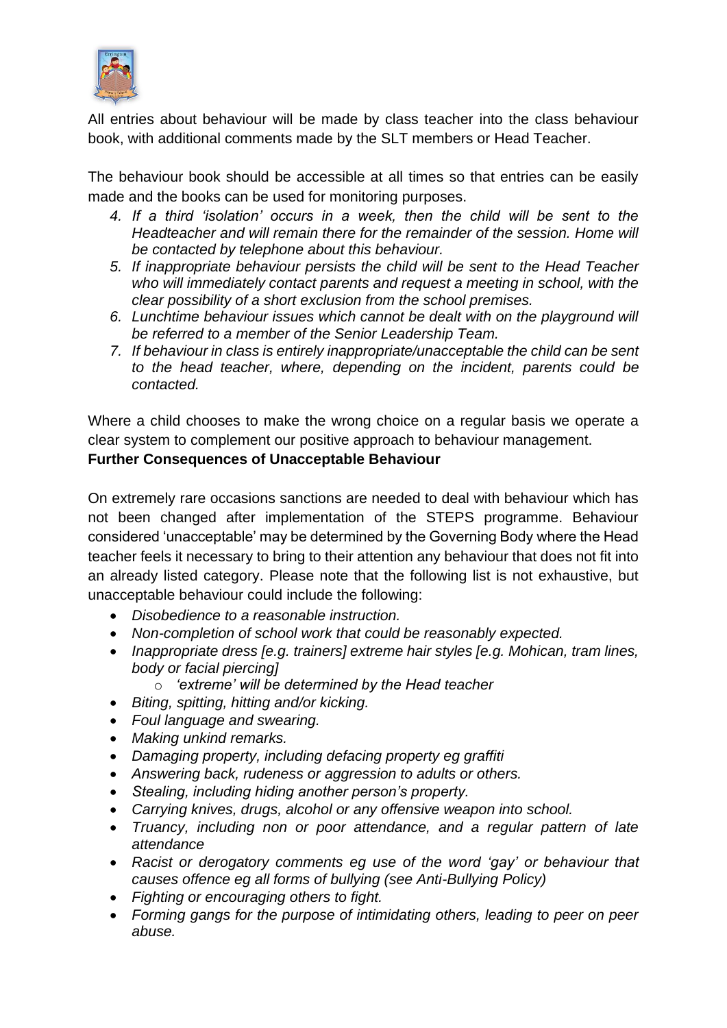

All entries about behaviour will be made by class teacher into the class behaviour book, with additional comments made by the SLT members or Head Teacher.

The behaviour book should be accessible at all times so that entries can be easily made and the books can be used for monitoring purposes.

- *4. If a third 'isolation' occurs in a week, then the child will be sent to the Headteacher and will remain there for the remainder of the session. Home will be contacted by telephone about this behaviour.*
- *5. If inappropriate behaviour persists the child will be sent to the Head Teacher who will immediately contact parents and request a meeting in school, with the clear possibility of a short exclusion from the school premises.*
- *6. Lunchtime behaviour issues which cannot be dealt with on the playground will be referred to a member of the Senior Leadership Team.*
- *7. If behaviour in class is entirely inappropriate/unacceptable the child can be sent to the head teacher, where, depending on the incident, parents could be contacted.*

Where a child chooses to make the wrong choice on a regular basis we operate a clear system to complement our positive approach to behaviour management.

#### **Further Consequences of Unacceptable Behaviour**

On extremely rare occasions sanctions are needed to deal with behaviour which has not been changed after implementation of the STEPS programme. Behaviour considered 'unacceptable' may be determined by the Governing Body where the Head teacher feels it necessary to bring to their attention any behaviour that does not fit into an already listed category. Please note that the following list is not exhaustive, but unacceptable behaviour could include the following:

- *Disobedience to a reasonable instruction.*
- *Non-completion of school work that could be reasonably expected.*
- *Inappropriate dress [e.g. trainers] extreme hair styles [e.g. Mohican, tram lines, body or facial piercing]*
	- o *'extreme' will be determined by the Head teacher*
- *Biting, spitting, hitting and/or kicking.*
- *Foul language and swearing.*
- *Making unkind remarks.*
- *Damaging property, including defacing property eg graffiti*
- *Answering back, rudeness or aggression to adults or others.*
- *Stealing, including hiding another person's property.*
- *Carrying knives, drugs, alcohol or any offensive weapon into school.*
- *Truancy, including non or poor attendance, and a regular pattern of late attendance*
- *Racist or derogatory comments eg use of the word 'gay' or behaviour that causes offence eg all forms of bullying (see Anti-Bullying Policy)*
- *Fighting or encouraging others to fight.*
- *Forming gangs for the purpose of intimidating others, leading to peer on peer abuse.*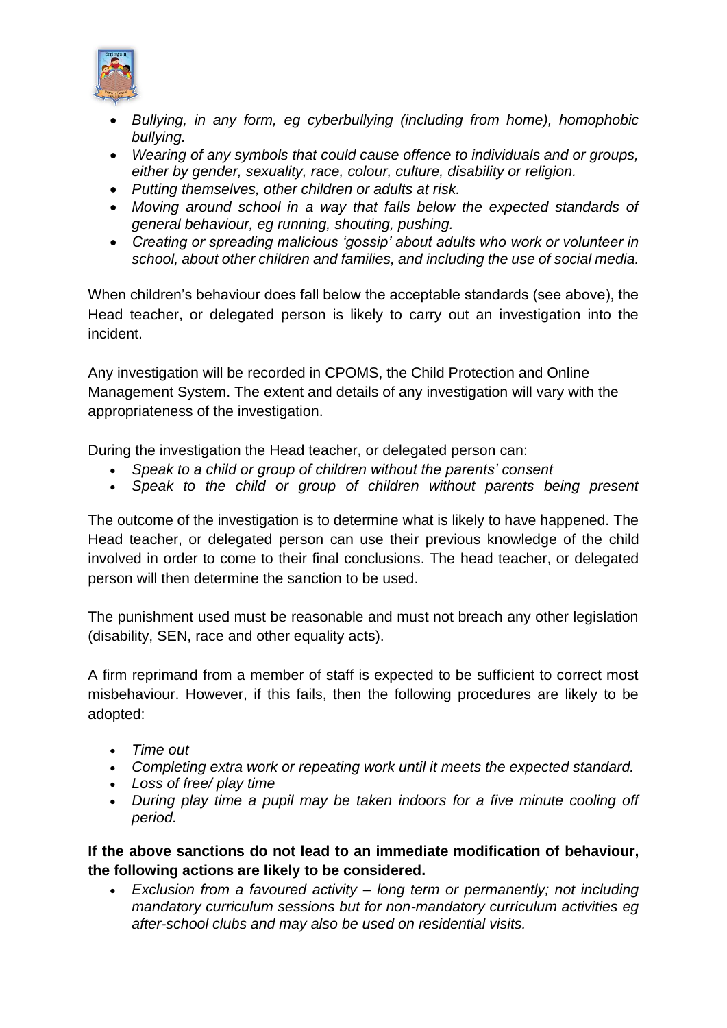

- *Bullying, in any form, eg cyberbullying (including from home), homophobic bullying.*
- *Wearing of any symbols that could cause offence to individuals and or groups, either by gender, sexuality, race, colour, culture, disability or religion.*
- *Putting themselves, other children or adults at risk.*
- *Moving around school in a way that falls below the expected standards of general behaviour, eg running, shouting, pushing.*
- *Creating or spreading malicious 'gossip' about adults who work or volunteer in school, about other children and families, and including the use of social media.*

When children's behaviour does fall below the acceptable standards (see above), the Head teacher, or delegated person is likely to carry out an investigation into the incident.

Any investigation will be recorded in CPOMS, the Child Protection and Online Management System. The extent and details of any investigation will vary with the appropriateness of the investigation.

During the investigation the Head teacher, or delegated person can:

- *Speak to a child or group of children without the parents' consent*
- *Speak to the child or group of children without parents being present*

The outcome of the investigation is to determine what is likely to have happened. The Head teacher, or delegated person can use their previous knowledge of the child involved in order to come to their final conclusions. The head teacher, or delegated person will then determine the sanction to be used.

The punishment used must be reasonable and must not breach any other legislation (disability, SEN, race and other equality acts).

A firm reprimand from a member of staff is expected to be sufficient to correct most misbehaviour. However, if this fails, then the following procedures are likely to be adopted:

- *Time out*
- *Completing extra work or repeating work until it meets the expected standard.*
- *Loss of free/ play time*
- *During play time a pupil may be taken indoors for a five minute cooling off period.*

**If the above sanctions do not lead to an immediate modification of behaviour, the following actions are likely to be considered.** 

• *Exclusion from a favoured activity – long term or permanently; not including mandatory curriculum sessions but for non-mandatory curriculum activities eg after-school clubs and may also be used on residential visits.*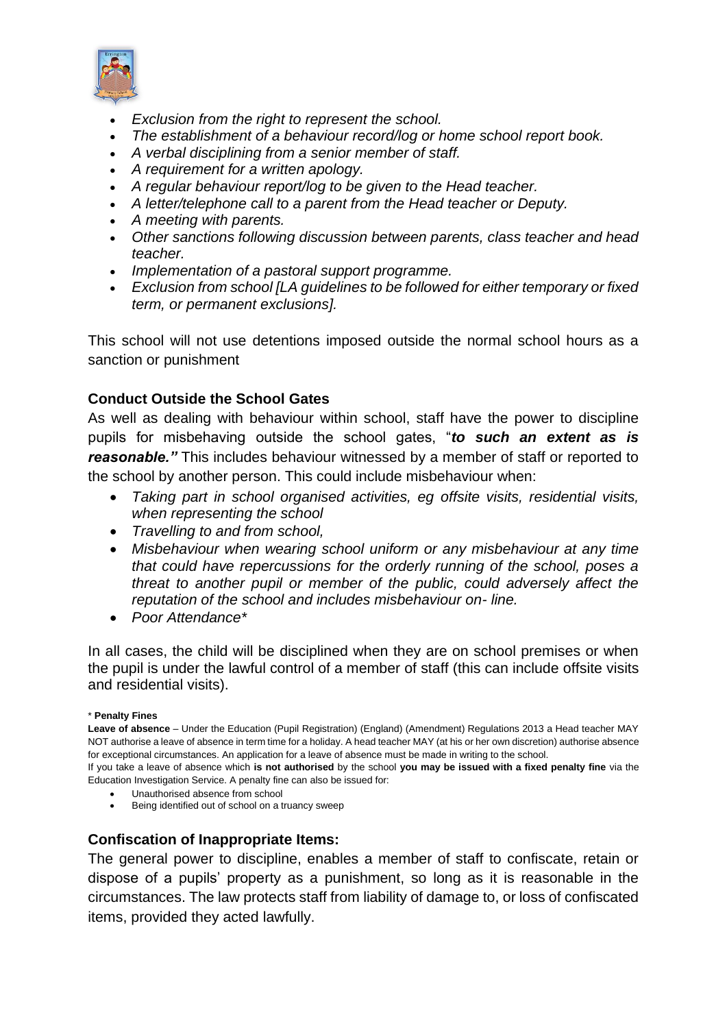

- *Exclusion from the right to represent the school.*
- *The establishment of a behaviour record/log or home school report book.*
- *A verbal disciplining from a senior member of staff.*
- *A requirement for a written apology.*
- *A regular behaviour report/log to be given to the Head teacher.*
- *A letter/telephone call to a parent from the Head teacher or Deputy.*
- *A meeting with parents.*
- *Other sanctions following discussion between parents, class teacher and head teacher.*
- *Implementation of a pastoral support programme.*
- *Exclusion from school [LA guidelines to be followed for either temporary or fixed term, or permanent exclusions].*

This school will not use detentions imposed outside the normal school hours as a sanction or punishment

#### **Conduct Outside the School Gates**

As well as dealing with behaviour within school, staff have the power to discipline pupils for misbehaving outside the school gates, "*to such an extent as is reasonable."* This includes behaviour witnessed by a member of staff or reported to the school by another person. This could include misbehaviour when:

- *Taking part in school organised activities, eg offsite visits, residential visits, when representing the school*
- *Travelling to and from school,*
- *Misbehaviour when wearing school uniform or any misbehaviour at any time that could have repercussions for the orderly running of the school, poses a threat to another pupil or member of the public, could adversely affect the reputation of the school and includes misbehaviour on- line.*
- *Poor Attendance\**

In all cases, the child will be disciplined when they are on school premises or when the pupil is under the lawful control of a member of staff (this can include offsite visits and residential visits).

#### \* **Penalty Fines**

**Leave of absence** – Under the Education (Pupil Registration) (England) (Amendment) Regulations 2013 a Head teacher MAY NOT authorise a leave of absence in term time for a holiday. A head teacher MAY (at his or her own discretion) authorise absence for exceptional circumstances. An application for a leave of absence must be made in writing to the school.

If you take a leave of absence which **is not authorised** by the school **you may be issued with a fixed penalty fine** via the Education Investigation Service. A penalty fine can also be issued for:

- Unauthorised absence from school
- Being identified out of school on a truancy sweep

#### **Confiscation of Inappropriate Items:**

The general power to discipline, enables a member of staff to confiscate, retain or dispose of a pupils' property as a punishment, so long as it is reasonable in the circumstances. The law protects staff from liability of damage to, or loss of confiscated items, provided they acted lawfully.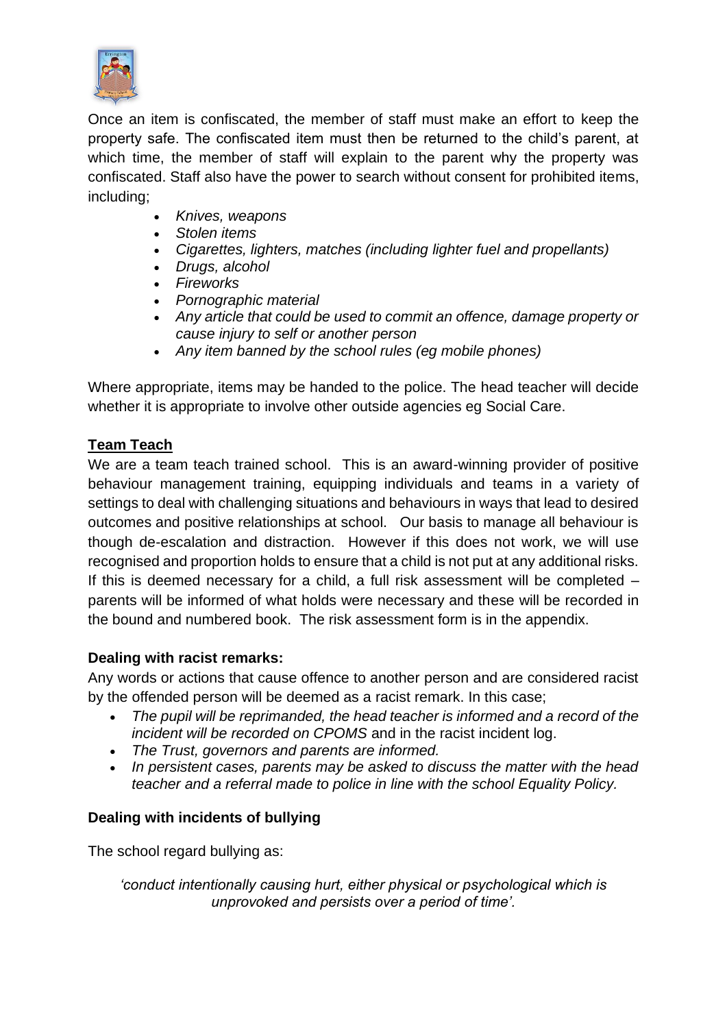

Once an item is confiscated, the member of staff must make an effort to keep the property safe. The confiscated item must then be returned to the child's parent, at which time, the member of staff will explain to the parent why the property was confiscated. Staff also have the power to search without consent for prohibited items, including;

- *Knives, weapons*
- *Stolen items*
- *Cigarettes, lighters, matches (including lighter fuel and propellants)*
- *Drugs, alcohol*
- *Fireworks*
- *Pornographic material*
- *Any article that could be used to commit an offence, damage property or cause injury to self or another person*
- *Any item banned by the school rules (eg mobile phones)*

Where appropriate, items may be handed to the police. The head teacher will decide whether it is appropriate to involve other outside agencies eg Social Care.

#### **Team Teach**

We are a team teach trained school. This is an award-winning provider of positive behaviour management training, equipping individuals and teams in a variety of settings to deal with challenging situations and behaviours in ways that lead to desired outcomes and positive relationships at school. Our basis to manage all behaviour is though de-escalation and distraction. However if this does not work, we will use recognised and proportion holds to ensure that a child is not put at any additional risks. If this is deemed necessary for a child, a full risk assessment will be completed – parents will be informed of what holds were necessary and these will be recorded in the bound and numbered book. The risk assessment form is in the appendix.

#### **Dealing with racist remarks:**

Any words or actions that cause offence to another person and are considered racist by the offended person will be deemed as a racist remark. In this case;

- *The pupil will be reprimanded, the head teacher is informed and a record of the incident will be recorded on CPOMS* and in the racist incident log.
- *The Trust, governors and parents are informed.*
- *In persistent cases, parents may be asked to discuss the matter with the head teacher and a referral made to police in line with the school Equality Policy.*

#### **Dealing with incidents of bullying**

The school regard bullying as:

*'conduct intentionally causing hurt, either physical or psychological which is unprovoked and persists over a period of time'.*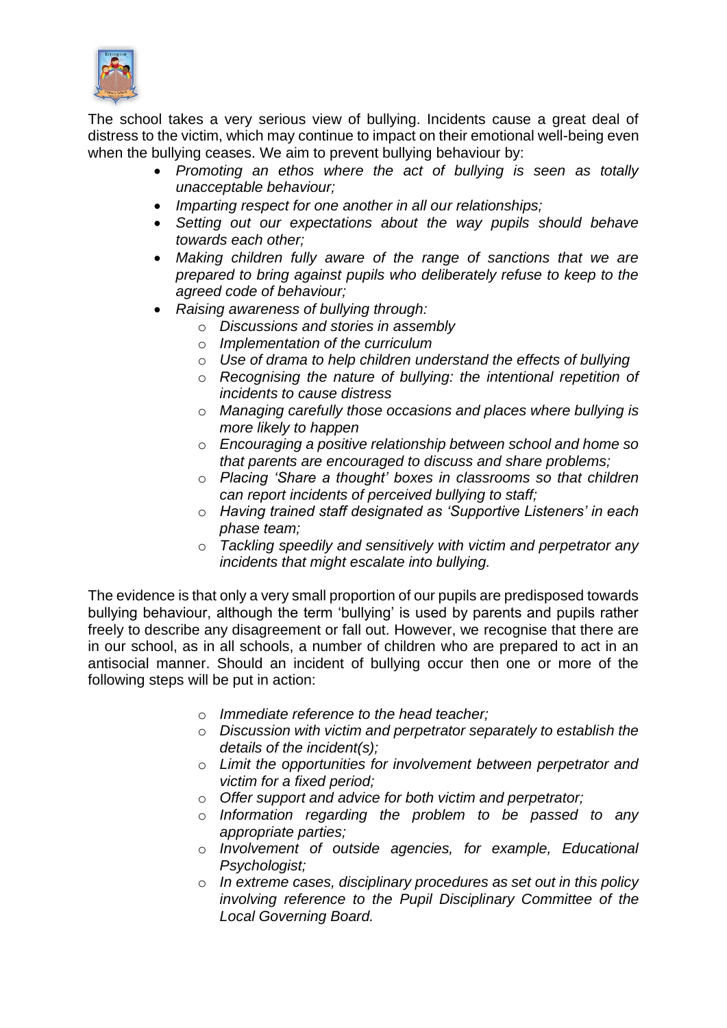

The school takes a very serious view of bullying. Incidents cause a great deal of distress to the victim, which may continue to impact on their emotional well-being even when the bullying ceases. We aim to prevent bullying behaviour by:

- *Promoting an ethos where the act of bullying is seen as totally unacceptable behaviour;*
- *Imparting respect for one another in all our relationships;*
- *Setting out our expectations about the way pupils should behave towards each other;*
- *Making children fully aware of the range of sanctions that we are prepared to bring against pupils who deliberately refuse to keep to the agreed code of behaviour;*
- *Raising awareness of bullying through:*
	- o *Discussions and stories in assembly*
	- o *Implementation of the curriculum*
	- o *Use of drama to help children understand the effects of bullying*
	- o *Recognising the nature of bullying: the intentional repetition of incidents to cause distress*
	- o *Managing carefully those occasions and places where bullying is more likely to happen*
	- o *Encouraging a positive relationship between school and home so that parents are encouraged to discuss and share problems;*
	- o *Placing 'Share a thought' boxes in classrooms so that children can report incidents of perceived bullying to staff;*
	- o *Having trained staff designated as 'Supportive Listeners' in each phase team;*
	- o *Tackling speedily and sensitively with victim and perpetrator any incidents that might escalate into bullying.*

The evidence is that only a very small proportion of our pupils are predisposed towards bullying behaviour, although the term 'bullying' is used by parents and pupils rather freely to describe any disagreement or fall out. However, we recognise that there are in our school, as in all schools, a number of children who are prepared to act in an antisocial manner. Should an incident of bullying occur then one or more of the following steps will be put in action:

- o *Immediate reference to the head teacher;*
- o *Discussion with victim and perpetrator separately to establish the details of the incident(s);*
- o *Limit the opportunities for involvement between perpetrator and victim for a fixed period;*
- o *Offer support and advice for both victim and perpetrator;*
- o *Information regarding the problem to be passed to any appropriate parties;*
- o *Involvement of outside agencies, for example, Educational Psychologist;*
- o *In extreme cases, disciplinary procedures as set out in this policy involving reference to the Pupil Disciplinary Committee of the Local Governing Board.*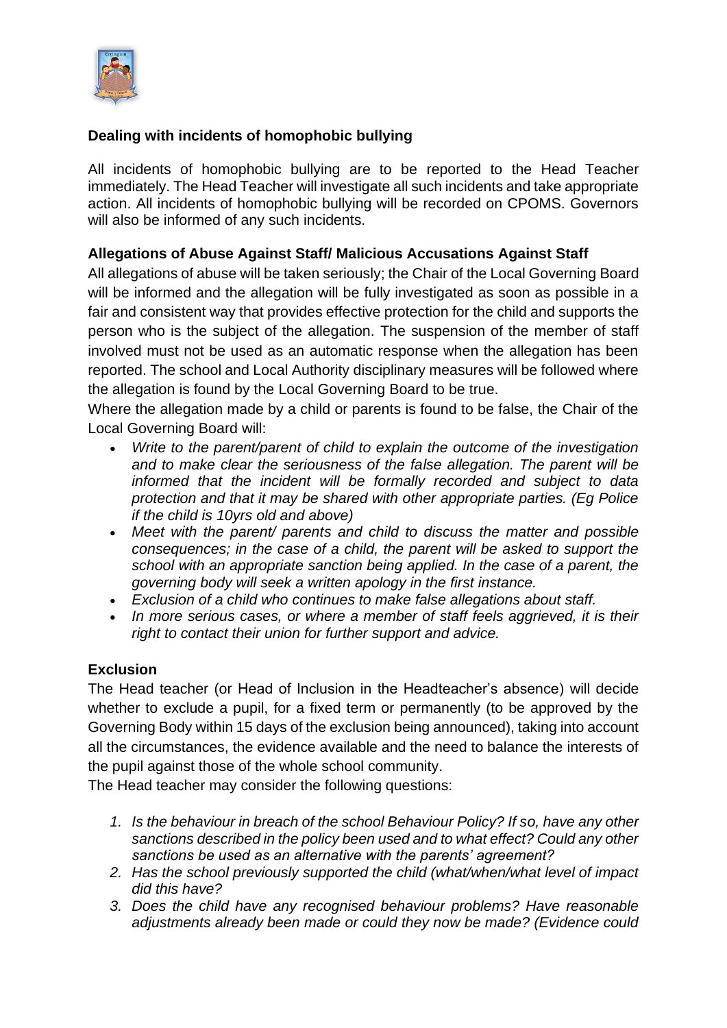

#### **Dealing with incidents of homophobic bullying**

All incidents of homophobic bullying are to be reported to the Head Teacher immediately. The Head Teacher will investigate all such incidents and take appropriate action. All incidents of homophobic bullying will be recorded on CPOMS. Governors will also be informed of any such incidents.

#### **Allegations of Abuse Against Staff/ Malicious Accusations Against Staff**

All allegations of abuse will be taken seriously; the Chair of the Local Governing Board will be informed and the allegation will be fully investigated as soon as possible in a fair and consistent way that provides effective protection for the child and supports the person who is the subject of the allegation. The suspension of the member of staff involved must not be used as an automatic response when the allegation has been reported. The school and Local Authority disciplinary measures will be followed where the allegation is found by the Local Governing Board to be true.

Where the allegation made by a child or parents is found to be false, the Chair of the Local Governing Board will:

- *Write to the parent/parent of child to explain the outcome of the investigation and to make clear the seriousness of the false allegation. The parent will be informed that the incident will be formally recorded and subject to data protection and that it may be shared with other appropriate parties. (Eg Police if the child is 10yrs old and above)*
- *Meet with the parent/ parents and child to discuss the matter and possible consequences; in the case of a child, the parent will be asked to support the school with an appropriate sanction being applied. In the case of a parent, the governing body will seek a written apology in the first instance.*
- *Exclusion of a child who continues to make false allegations about staff.*
- *In more serious cases, or where a member of staff feels aggrieved, it is their right to contact their union for further support and advice.*

#### **Exclusion**

The Head teacher (or Head of Inclusion in the Headteacher's absence) will decide whether to exclude a pupil, for a fixed term or permanently (to be approved by the Governing Body within 15 days of the exclusion being announced), taking into account all the circumstances, the evidence available and the need to balance the interests of the pupil against those of the whole school community.

The Head teacher may consider the following questions:

- *1. Is the behaviour in breach of the school Behaviour Policy? If so, have any other sanctions described in the policy been used and to what effect? Could any other sanctions be used as an alternative with the parents' agreement?*
- *2. Has the school previously supported the child (what/when/what level of impact did this have?*
- *3. Does the child have any recognised behaviour problems? Have reasonable adjustments already been made or could they now be made? (Evidence could*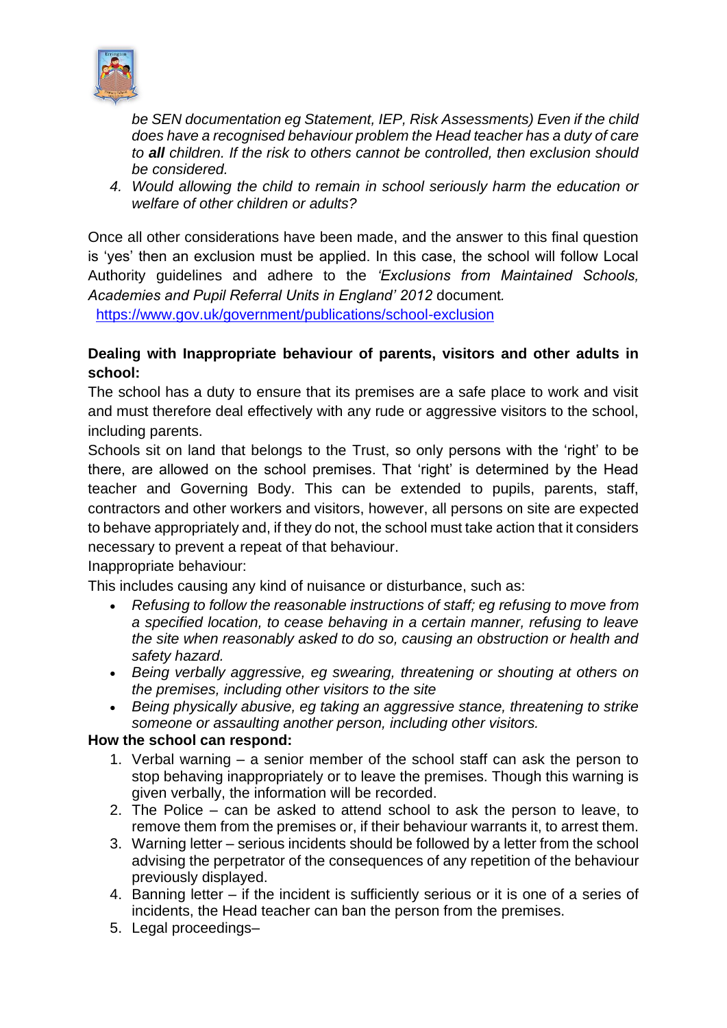

*be SEN documentation eg Statement, IEP, Risk Assessments) Even if the child does have a recognised behaviour problem the Head teacher has a duty of care to all children. If the risk to others cannot be controlled, then exclusion should be considered.* 

*4. Would allowing the child to remain in school seriously harm the education or welfare of other children or adults?*

Once all other considerations have been made, and the answer to this final question is 'yes' then an exclusion must be applied. In this case, the school will follow Local Authority guidelines and adhere to the *'Exclusions from Maintained Schools, Academies and Pupil Referral Units in England' 2012* document*.*

<https://www.gov.uk/government/publications/school-exclusion>

#### **Dealing with Inappropriate behaviour of parents, visitors and other adults in school:**

The school has a duty to ensure that its premises are a safe place to work and visit and must therefore deal effectively with any rude or aggressive visitors to the school, including parents.

Schools sit on land that belongs to the Trust, so only persons with the 'right' to be there, are allowed on the school premises. That 'right' is determined by the Head teacher and Governing Body. This can be extended to pupils, parents, staff, contractors and other workers and visitors, however, all persons on site are expected to behave appropriately and, if they do not, the school must take action that it considers necessary to prevent a repeat of that behaviour.

#### Inappropriate behaviour:

This includes causing any kind of nuisance or disturbance, such as:

- *Refusing to follow the reasonable instructions of staff; eg refusing to move from a specified location, to cease behaving in a certain manner, refusing to leave the site when reasonably asked to do so, causing an obstruction or health and safety hazard.*
- *Being verbally aggressive, eg swearing, threatening or shouting at others on the premises, including other visitors to the site*
- *Being physically abusive, eg taking an aggressive stance, threatening to strike someone or assaulting another person, including other visitors.*

#### **How the school can respond:**

- 1. Verbal warning a senior member of the school staff can ask the person to stop behaving inappropriately or to leave the premises. Though this warning is given verbally, the information will be recorded.
- 2. The Police can be asked to attend school to ask the person to leave, to remove them from the premises or, if their behaviour warrants it, to arrest them.
- 3. Warning letter serious incidents should be followed by a letter from the school advising the perpetrator of the consequences of any repetition of the behaviour previously displayed.
- 4. Banning letter if the incident is sufficiently serious or it is one of a series of incidents, the Head teacher can ban the person from the premises.
- 5. Legal proceedings–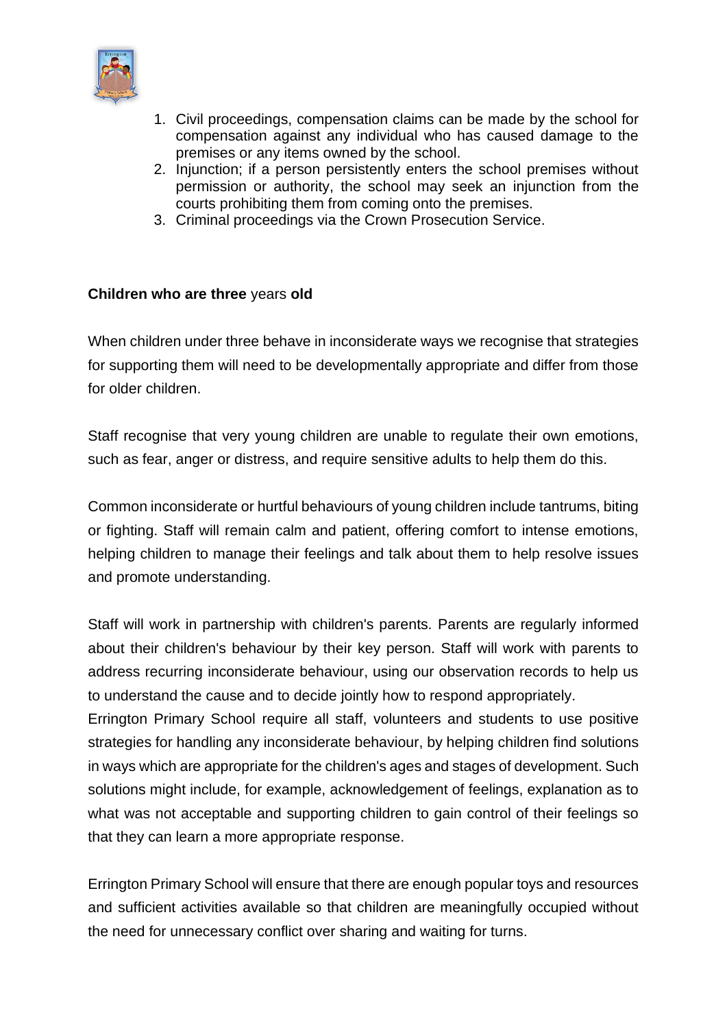

- 1. Civil proceedings, compensation claims can be made by the school for compensation against any individual who has caused damage to the premises or any items owned by the school.
- 2. Injunction; if a person persistently enters the school premises without permission or authority, the school may seek an injunction from the courts prohibiting them from coming onto the premises.
- 3. Criminal proceedings via the Crown Prosecution Service.

#### **Children who are three** years **old**

When children under three behave in inconsiderate ways we recognise that strategies for supporting them will need to be developmentally appropriate and differ from those for older children.

Staff recognise that very young children are unable to regulate their own emotions, such as fear, anger or distress, and require sensitive adults to help them do this.

Common inconsiderate or hurtful behaviours of young children include tantrums, biting or fighting. Staff will remain calm and patient, offering comfort to intense emotions, helping children to manage their feelings and talk about them to help resolve issues and promote understanding.

Staff will work in partnership with children's parents. Parents are regularly informed about their children's behaviour by their key person. Staff will work with parents to address recurring inconsiderate behaviour, using our observation records to help us to understand the cause and to decide jointly how to respond appropriately.

Errington Primary School require all staff, volunteers and students to use positive strategies for handling any inconsiderate behaviour, by helping children find solutions in ways which are appropriate for the children's ages and stages of development. Such solutions might include, for example, acknowledgement of feelings, explanation as to what was not acceptable and supporting children to gain control of their feelings so that they can learn a more appropriate response.

Errington Primary School will ensure that there are enough popular toys and resources and sufficient activities available so that children are meaningfully occupied without the need for unnecessary conflict over sharing and waiting for turns.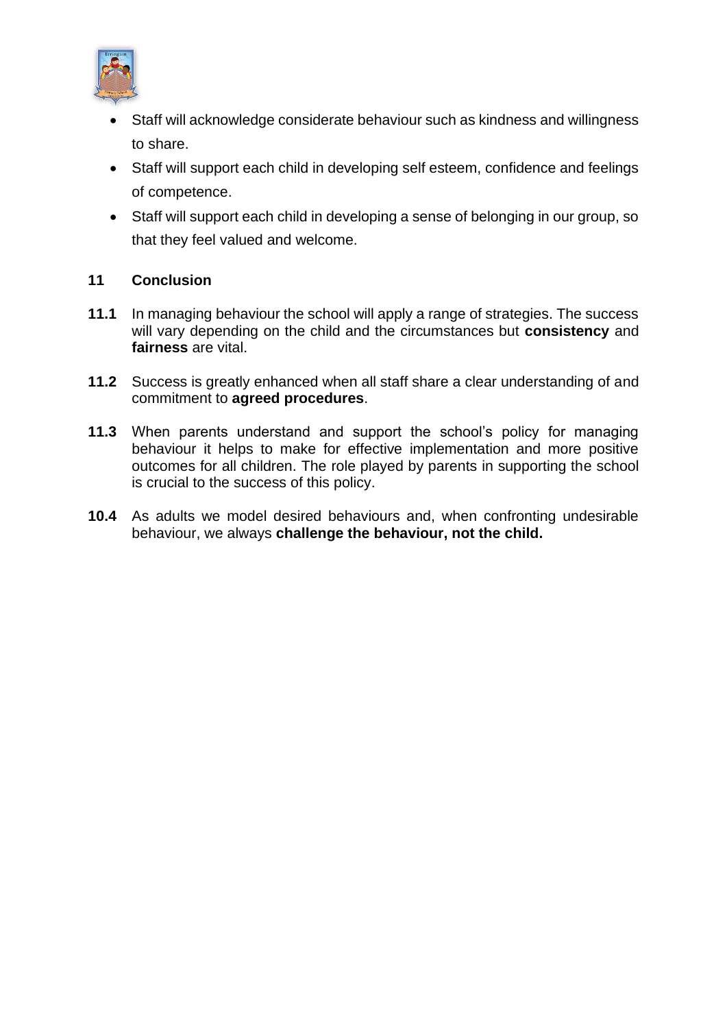

- Staff will acknowledge considerate behaviour such as kindness and willingness to share.
- Staff will support each child in developing self esteem, confidence and feelings of competence.
- Staff will support each child in developing a sense of belonging in our group, so that they feel valued and welcome.

#### **11 Conclusion**

- **11.1** In managing behaviour the school will apply a range of strategies. The success will vary depending on the child and the circumstances but **consistency** and **fairness** are vital.
- **11.2** Success is greatly enhanced when all staff share a clear understanding of and commitment to **agreed procedures**.
- **11.3** When parents understand and support the school's policy for managing behaviour it helps to make for effective implementation and more positive outcomes for all children. The role played by parents in supporting the school is crucial to the success of this policy.
- **10.4** As adults we model desired behaviours and, when confronting undesirable behaviour, we always **challenge the behaviour, not the child.**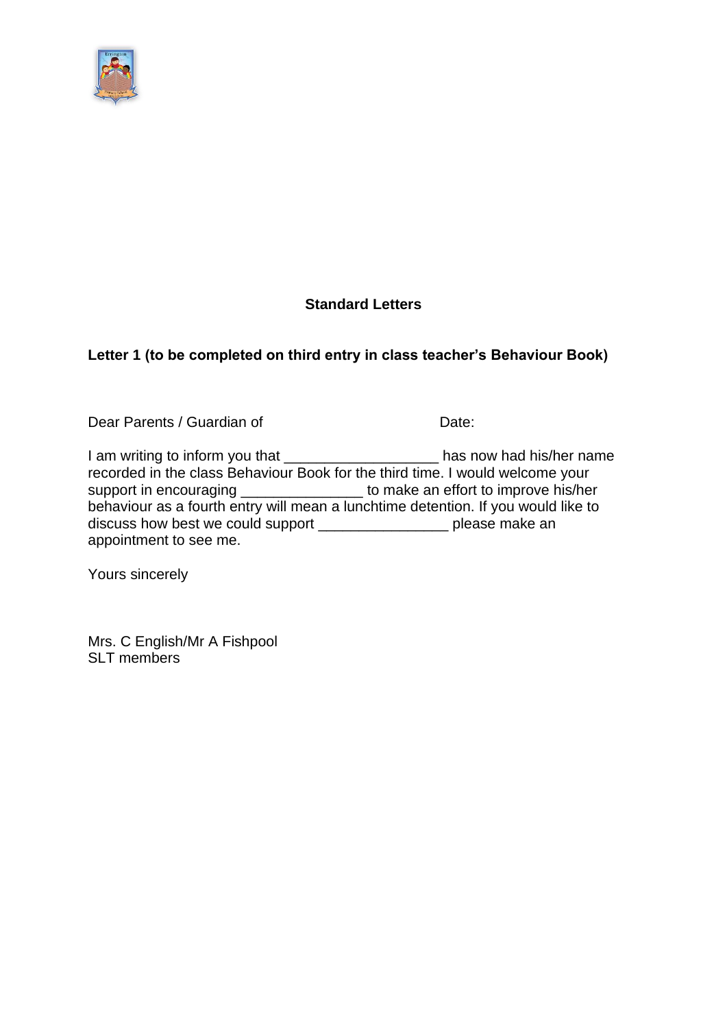

#### **Standard Letters**

#### **Letter 1 (to be completed on third entry in class teacher's Behaviour Book)**

Dear Parents / Guardian of Date:

I am writing to inform you that \_\_\_\_\_\_\_\_\_\_\_\_\_\_\_\_\_\_\_\_\_\_\_\_\_has now had his/her name recorded in the class Behaviour Book for the third time. I would welcome your support in encouraging \_\_\_\_\_\_\_\_\_\_\_\_\_\_\_\_\_ to make an effort to improve his/her behaviour as a fourth entry will mean a lunchtime detention. If you would like to discuss how best we could support \_\_\_\_\_\_\_\_\_\_\_\_\_\_\_\_ please make an appointment to see me.

Yours sincerely

Mrs. C English/Mr A Fishpool SLT members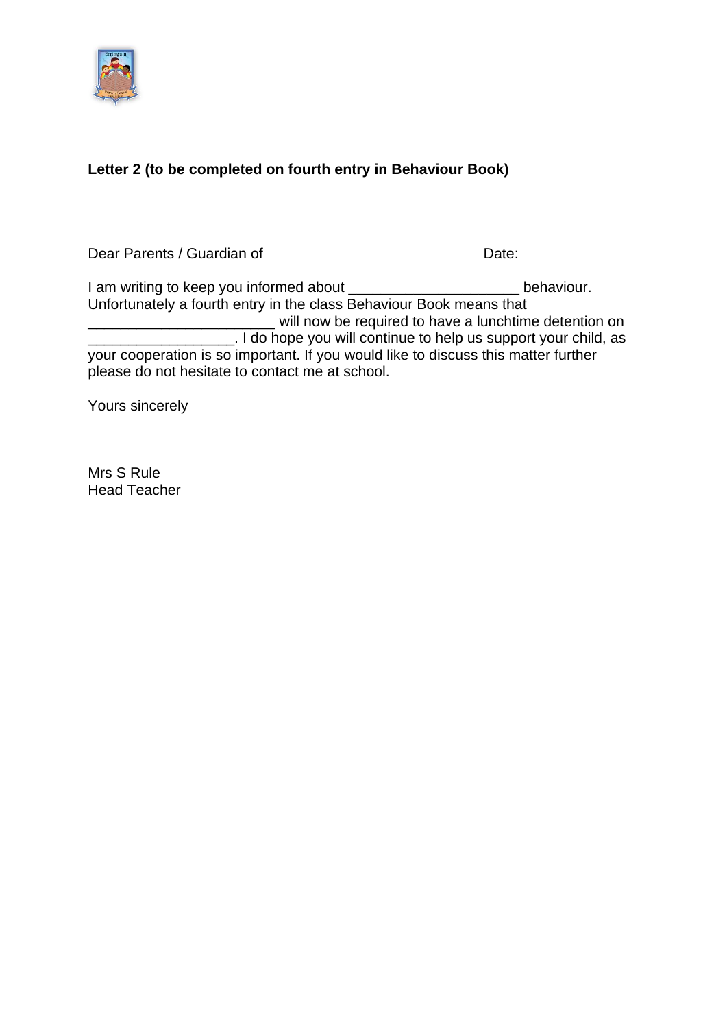

#### **Letter 2 (to be completed on fourth entry in Behaviour Book)**

Dear Parents / Guardian of Date:

I am writing to keep you informed about \_\_\_\_\_\_\_\_\_\_\_\_\_\_\_\_\_\_\_\_\_\_\_\_\_\_\_ behaviour. Unfortunately a fourth entry in the class Behaviour Book means that \_\_\_\_\_\_\_\_\_\_\_\_\_\_\_\_\_\_\_\_\_\_\_ will now be required to have a lunchtime detention on . I do hope you will continue to help us support your child, as your cooperation is so important. If you would like to discuss this matter further please do not hesitate to contact me at school.

Yours sincerely

Mrs S Rule Head Teacher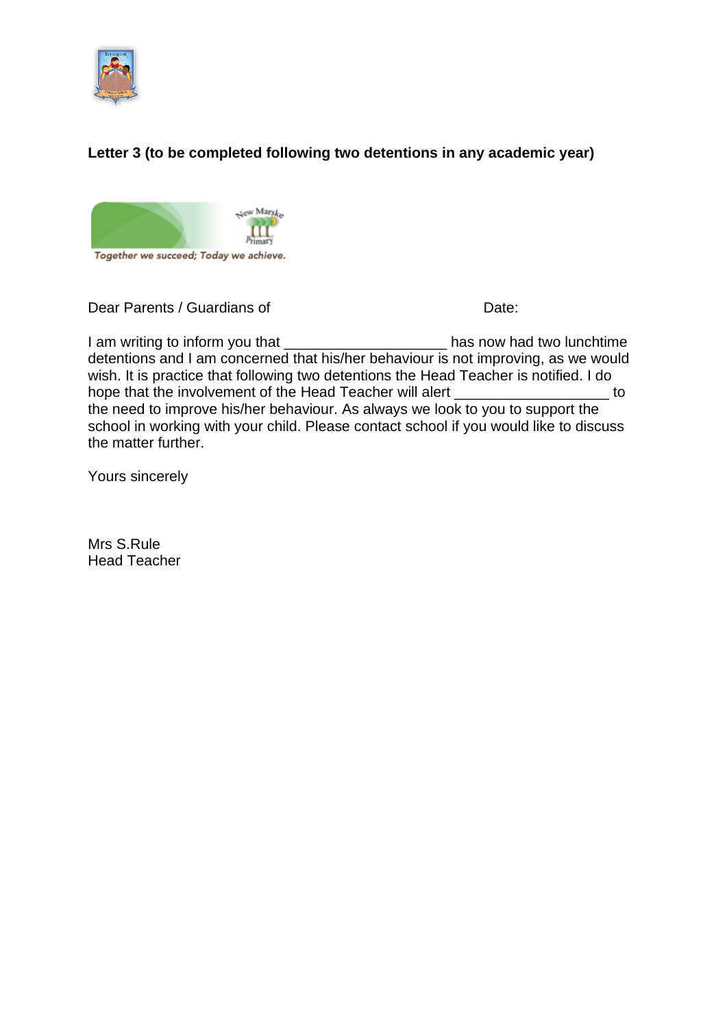

#### **Letter 3 (to be completed following two detentions in any academic year)**



Dear Parents / Guardians of Date:

I am writing to inform you that **I constant that the set of the set of the set of the set of the set of the set o** detentions and I am concerned that his/her behaviour is not improving, as we would wish. It is practice that following two detentions the Head Teacher is notified. I do hope that the involvement of the Head Teacher will alert \_\_\_\_\_\_\_\_\_\_\_\_\_\_\_\_\_\_\_\_\_\_ to the need to improve his/her behaviour. As always we look to you to support the school in working with your child. Please contact school if you would like to discuss the matter further.

Yours sincerely

Mrs S.Rule Head Teacher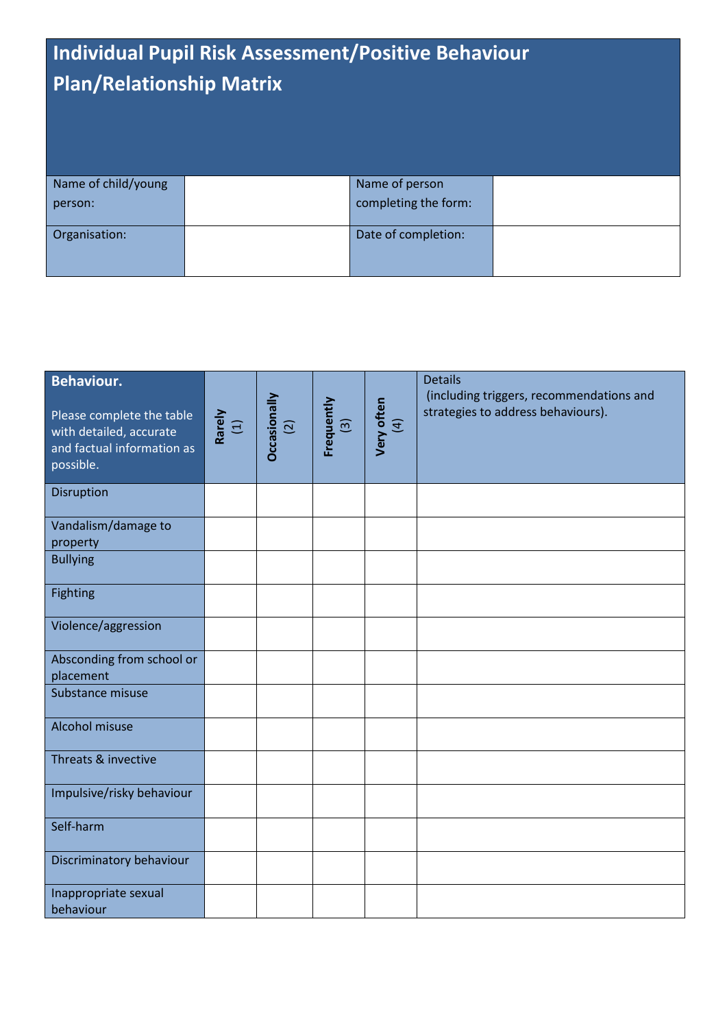## **Individual Pupil Risk Assessment/Positive Behaviour Plan/Relationship Matrix**

| Name of child/young | Name of person       |  |
|---------------------|----------------------|--|
| person:             | completing the form: |  |
|                     |                      |  |
| Organisation:       | Date of completion:  |  |
|                     |                      |  |
|                     |                      |  |

| <b>Behaviour.</b><br>Please complete the table<br>with detailed, accurate<br>and factual information as<br>possible. | Rarely<br>(1) | Occasionally<br>(2) | Frequently<br>$\boxed{3}$ | Very often<br>$\overline{4}$ | <b>Details</b><br>(including triggers, recommendations and<br>strategies to address behaviours). |
|----------------------------------------------------------------------------------------------------------------------|---------------|---------------------|---------------------------|------------------------------|--------------------------------------------------------------------------------------------------|
| Disruption                                                                                                           |               |                     |                           |                              |                                                                                                  |
| Vandalism/damage to<br>property                                                                                      |               |                     |                           |                              |                                                                                                  |
| <b>Bullying</b>                                                                                                      |               |                     |                           |                              |                                                                                                  |
| <b>Fighting</b>                                                                                                      |               |                     |                           |                              |                                                                                                  |
| Violence/aggression                                                                                                  |               |                     |                           |                              |                                                                                                  |
| Absconding from school or<br>placement                                                                               |               |                     |                           |                              |                                                                                                  |
| Substance misuse                                                                                                     |               |                     |                           |                              |                                                                                                  |
| Alcohol misuse                                                                                                       |               |                     |                           |                              |                                                                                                  |
| Threats & invective                                                                                                  |               |                     |                           |                              |                                                                                                  |
| Impulsive/risky behaviour                                                                                            |               |                     |                           |                              |                                                                                                  |
| Self-harm                                                                                                            |               |                     |                           |                              |                                                                                                  |
| Discriminatory behaviour                                                                                             |               |                     |                           |                              |                                                                                                  |
| Inappropriate sexual<br>behaviour                                                                                    |               |                     |                           |                              |                                                                                                  |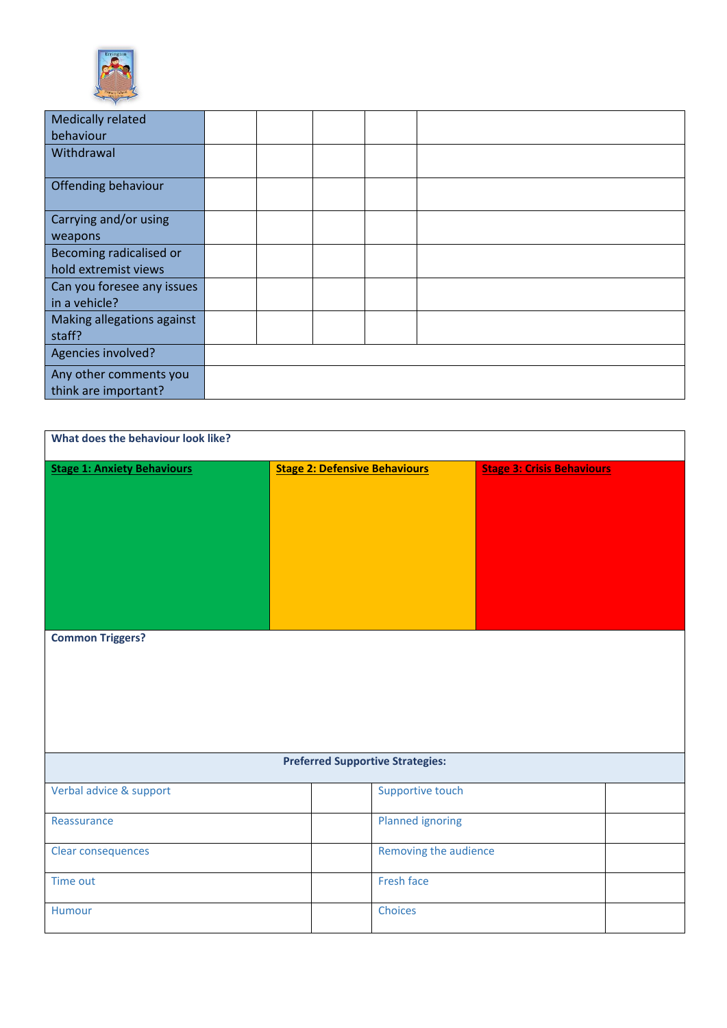

| Medically related<br>behaviour                  |  |  |  |
|-------------------------------------------------|--|--|--|
| Withdrawal                                      |  |  |  |
| Offending behaviour                             |  |  |  |
| Carrying and/or using<br>weapons                |  |  |  |
| Becoming radicalised or<br>hold extremist views |  |  |  |
| Can you foresee any issues<br>in a vehicle?     |  |  |  |
| Making allegations against<br>staff?            |  |  |  |
| Agencies involved?                              |  |  |  |
| Any other comments you<br>think are important?  |  |  |  |

| What does the behaviour look like? |                                         |                       |                                   |  |  |
|------------------------------------|-----------------------------------------|-----------------------|-----------------------------------|--|--|
| <b>Stage 1: Anxiety Behaviours</b> | <b>Stage 2: Defensive Behaviours</b>    |                       | <b>Stage 3: Crisis Behaviours</b> |  |  |
| <b>Common Triggers?</b>            |                                         |                       |                                   |  |  |
|                                    | <b>Preferred Supportive Strategies:</b> |                       |                                   |  |  |
| Verbal advice & support            |                                         | Supportive touch      |                                   |  |  |
| Reassurance                        |                                         | Planned ignoring      |                                   |  |  |
| Clear consequences                 |                                         | Removing the audience |                                   |  |  |
| Time out                           | Fresh face                              |                       |                                   |  |  |
| Humour                             |                                         | Choices               |                                   |  |  |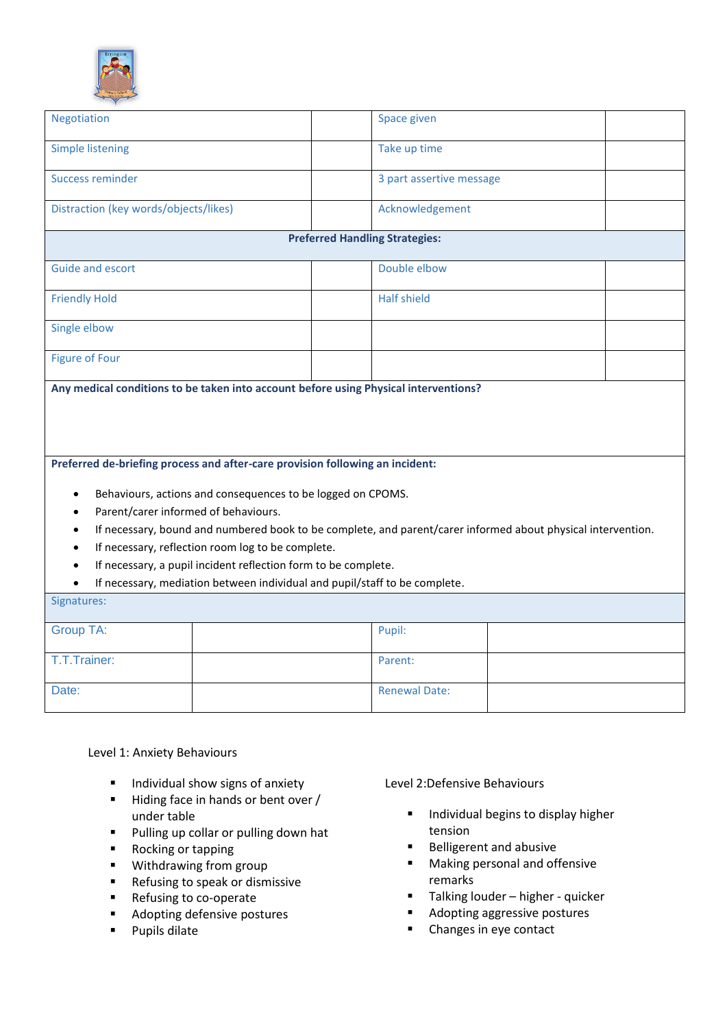

| Negotiation                                                                          | Space given                                                                                                  |  |  |  |  |
|--------------------------------------------------------------------------------------|--------------------------------------------------------------------------------------------------------------|--|--|--|--|
| <b>Simple listening</b>                                                              | Take up time                                                                                                 |  |  |  |  |
|                                                                                      |                                                                                                              |  |  |  |  |
| <b>Success reminder</b>                                                              | 3 part assertive message                                                                                     |  |  |  |  |
| Distraction (key words/objects/likes)                                                | Acknowledgement                                                                                              |  |  |  |  |
|                                                                                      |                                                                                                              |  |  |  |  |
|                                                                                      | <b>Preferred Handling Strategies:</b>                                                                        |  |  |  |  |
|                                                                                      |                                                                                                              |  |  |  |  |
| <b>Guide and escort</b>                                                              | Double elbow                                                                                                 |  |  |  |  |
| <b>Friendly Hold</b>                                                                 | <b>Half shield</b>                                                                                           |  |  |  |  |
|                                                                                      |                                                                                                              |  |  |  |  |
| Single elbow                                                                         |                                                                                                              |  |  |  |  |
|                                                                                      |                                                                                                              |  |  |  |  |
| <b>Figure of Four</b>                                                                |                                                                                                              |  |  |  |  |
| Any medical conditions to be taken into account before using Physical interventions? |                                                                                                              |  |  |  |  |
|                                                                                      |                                                                                                              |  |  |  |  |
|                                                                                      |                                                                                                              |  |  |  |  |
|                                                                                      |                                                                                                              |  |  |  |  |
|                                                                                      |                                                                                                              |  |  |  |  |
| Preferred de-briefing process and after-care provision following an incident:        |                                                                                                              |  |  |  |  |
|                                                                                      |                                                                                                              |  |  |  |  |
| Behaviours, actions and consequences to be logged on CPOMS.<br>$\bullet$             |                                                                                                              |  |  |  |  |
| Parent/carer informed of behaviours.                                                 |                                                                                                              |  |  |  |  |
| $\bullet$                                                                            | If necessary, bound and numbered book to be complete, and parent/carer informed about physical intervention. |  |  |  |  |
| If necessary, reflection room log to be complete.<br>$\bullet$                       |                                                                                                              |  |  |  |  |
| If necessary, a pupil incident reflection form to be complete.                       |                                                                                                              |  |  |  |  |
| If necessary, mediation between individual and pupil/staff to be complete.           |                                                                                                              |  |  |  |  |
| Signatures:                                                                          |                                                                                                              |  |  |  |  |
|                                                                                      |                                                                                                              |  |  |  |  |
| <b>Group TA:</b>                                                                     | Pupil:                                                                                                       |  |  |  |  |
| T.T.Trainer:                                                                         | Parent:                                                                                                      |  |  |  |  |
|                                                                                      |                                                                                                              |  |  |  |  |
| Date:                                                                                | <b>Renewal Date:</b>                                                                                         |  |  |  |  |
|                                                                                      |                                                                                                              |  |  |  |  |

Level 1: Anxiety Behaviours

- Individual show signs of anxiety
- Hiding face in hands or bent over / under table
- Pulling up collar or pulling down hat
- Rocking or tapping
- Withdrawing from group
- Refusing to speak or dismissive
- Refusing to co-operate
- Adopting defensive postures
- Pupils dilate

Level 2:Defensive Behaviours

- Individual begins to display higher tension
- **Belligerent and abusive**
- Making personal and offensive remarks
- Talking louder higher quicker
- Adopting aggressive postures
- Changes in eye contact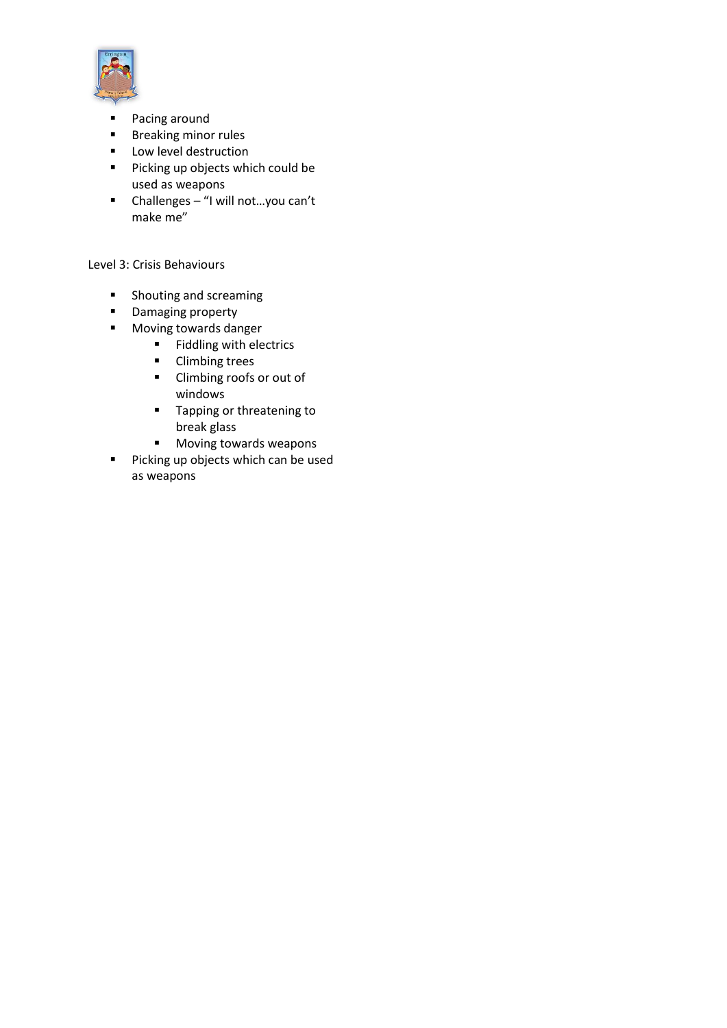

- Pacing around
- Breaking minor rules
- Low level destruction
- Picking up objects which could be used as weapons
- Challenges "I will not...you can't make me"

Level 3: Crisis Behaviours

- Shouting and screaming
- Damaging property
- Moving towards danger
	- Fiddling with electrics
	- Climbing trees
	- Climbing roofs or out of windows
	- Tapping or threatening to break glass
	- Moving towards weapons
- Picking up objects which can be used as weapons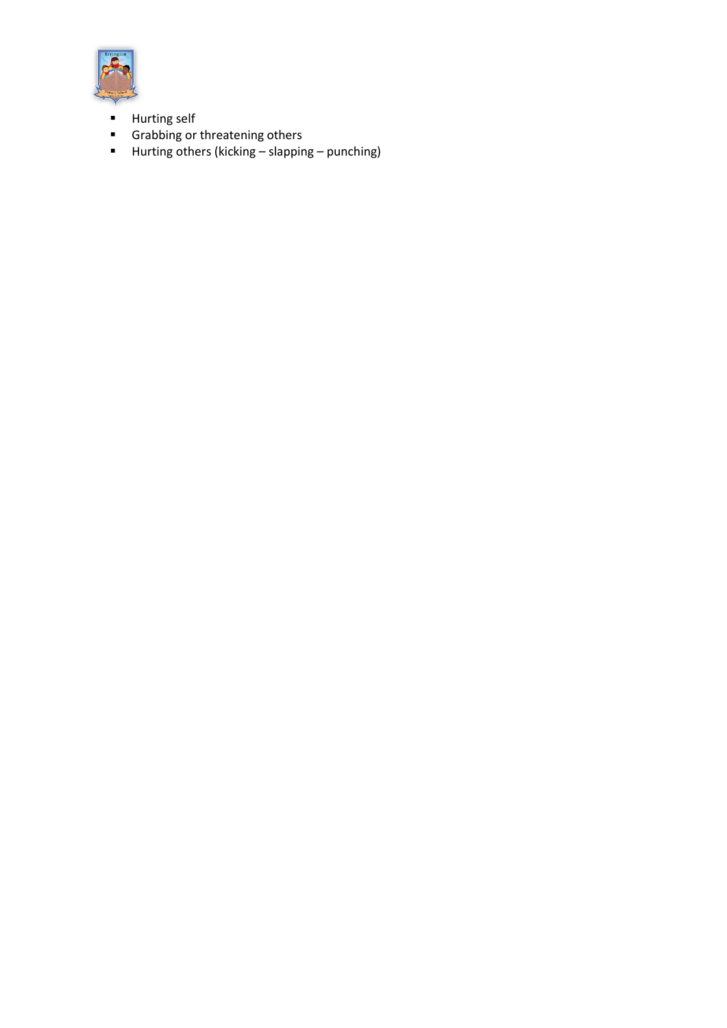

- Hurting self
- **E** Grabbing or threatening others
- Hurting others (kicking slapping punching)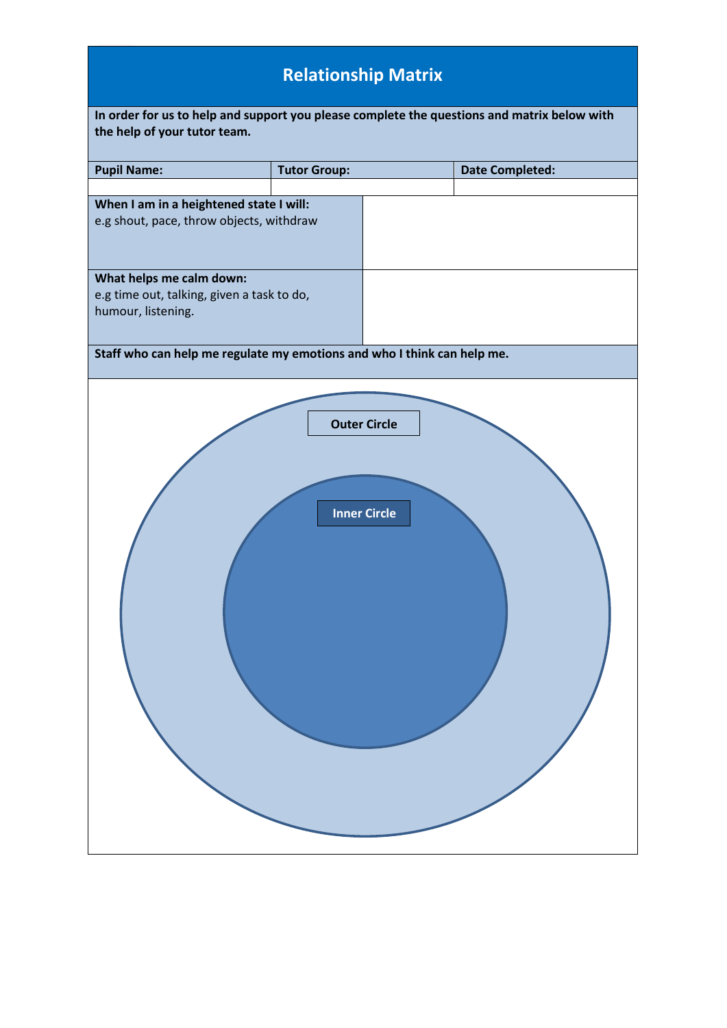| <b>Relationship Matrix</b>                                                                   |                                                                                             |                        |  |  |
|----------------------------------------------------------------------------------------------|---------------------------------------------------------------------------------------------|------------------------|--|--|
| the help of your tutor team.                                                                 | In order for us to help and support you please complete the questions and matrix below with |                        |  |  |
|                                                                                              |                                                                                             |                        |  |  |
| <b>Pupil Name:</b>                                                                           | <b>Tutor Group:</b>                                                                         | <b>Date Completed:</b> |  |  |
| When I am in a heightened state I will:<br>e.g shout, pace, throw objects, withdraw          |                                                                                             |                        |  |  |
| What helps me calm down:<br>e.g time out, talking, given a task to do,<br>humour, listening. |                                                                                             |                        |  |  |
|                                                                                              | Staff who can help me regulate my emotions and who I think can help me.                     |                        |  |  |
|                                                                                              | <b>Outer Circle</b><br><b>Inner Circle</b>                                                  |                        |  |  |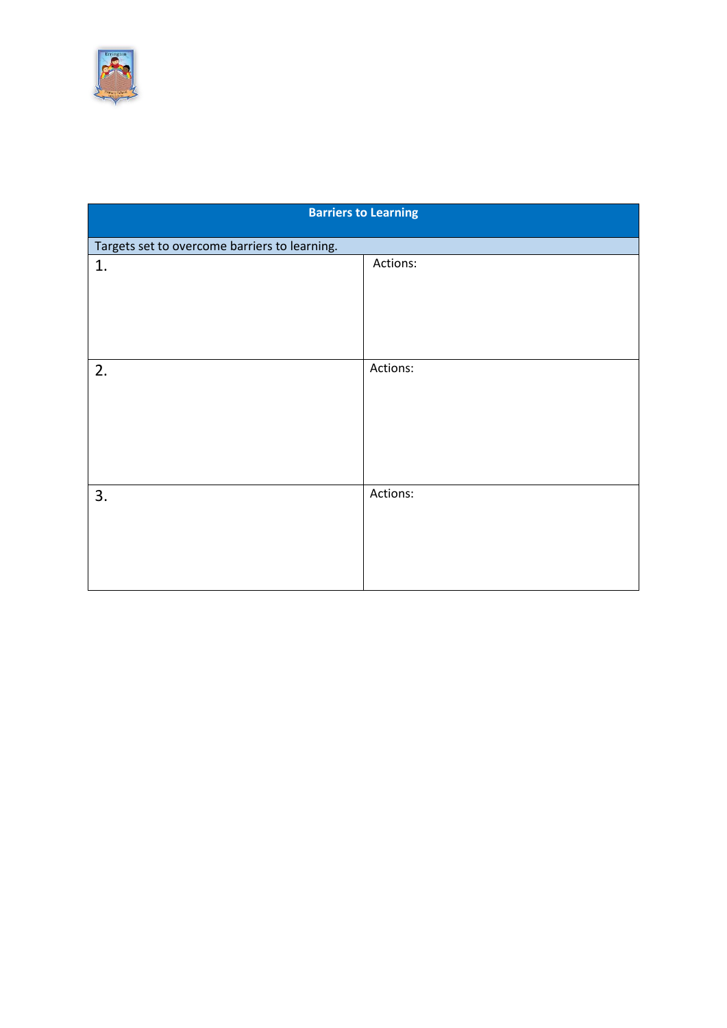

|                                               | <b>Barriers to Learning</b> |
|-----------------------------------------------|-----------------------------|
| Targets set to overcome barriers to learning. |                             |
| 1.                                            | Actions:                    |
| 2.                                            | Actions:                    |
| 3.                                            | Actions:                    |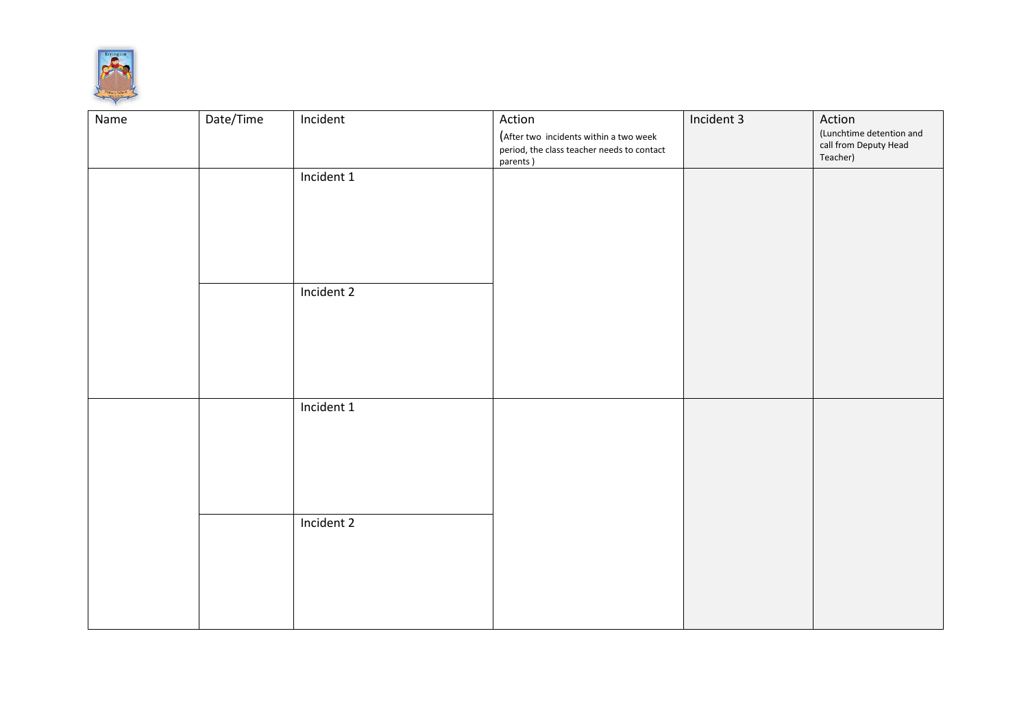

| Date/Time | Incident   | Action                                     | Incident 3                                         | Action<br>(Lunchtime detention and |
|-----------|------------|--------------------------------------------|----------------------------------------------------|------------------------------------|
|           |            | period, the class teacher needs to contact |                                                    | call from Deputy Head<br>Teacher)  |
|           | Incident 1 |                                            |                                                    |                                    |
|           |            |                                            |                                                    |                                    |
|           |            |                                            |                                                    |                                    |
|           |            |                                            |                                                    |                                    |
|           |            |                                            |                                                    |                                    |
|           |            |                                            |                                                    |                                    |
|           |            |                                            |                                                    |                                    |
|           |            |                                            |                                                    |                                    |
|           |            |                                            |                                                    |                                    |
|           |            |                                            |                                                    |                                    |
|           |            |                                            |                                                    |                                    |
|           |            |                                            |                                                    |                                    |
|           |            |                                            |                                                    |                                    |
|           | Incident 2 |                                            |                                                    |                                    |
|           |            |                                            |                                                    |                                    |
|           |            |                                            |                                                    |                                    |
|           |            |                                            |                                                    |                                    |
|           |            | Incident 2<br>Incident 1                   | (After two incidents within a two week<br>parents) |                                    |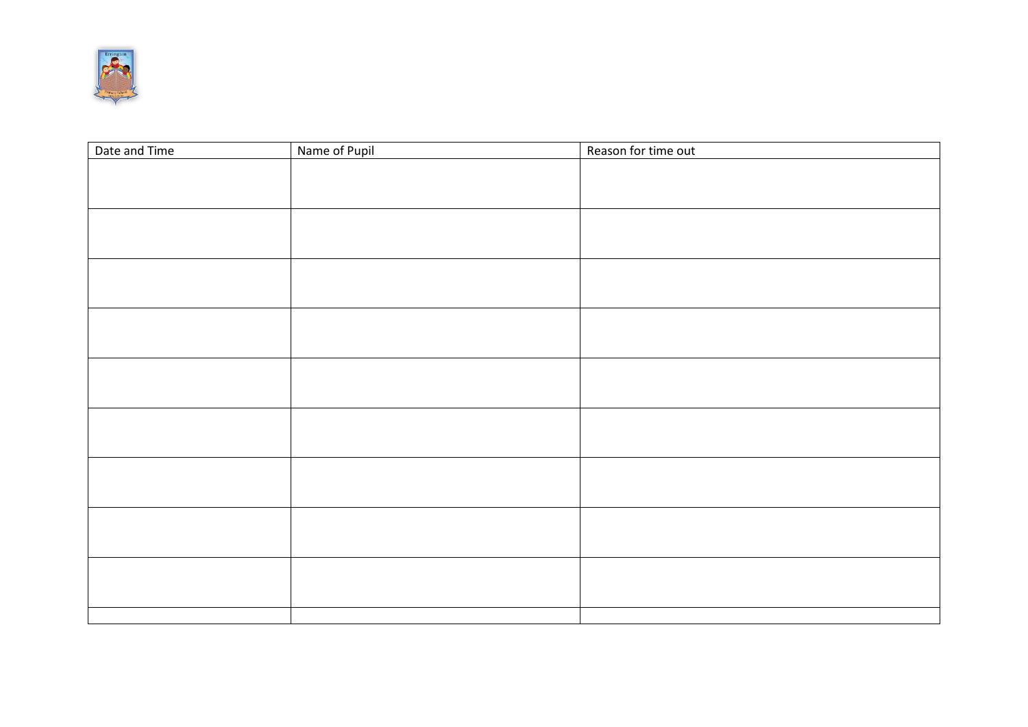

| Date and Time | Name of Pupil | Reason for time out |
|---------------|---------------|---------------------|
|               |               |                     |
|               |               |                     |
|               |               |                     |
|               |               |                     |
|               |               |                     |
|               |               |                     |
|               |               |                     |
|               |               |                     |
|               |               |                     |
|               |               |                     |
|               |               |                     |
|               |               |                     |
|               |               |                     |
|               |               |                     |
|               |               |                     |
|               |               |                     |
|               |               |                     |
|               |               |                     |
|               |               |                     |
|               |               |                     |
|               |               |                     |
|               |               |                     |
|               |               |                     |
|               |               |                     |
|               |               |                     |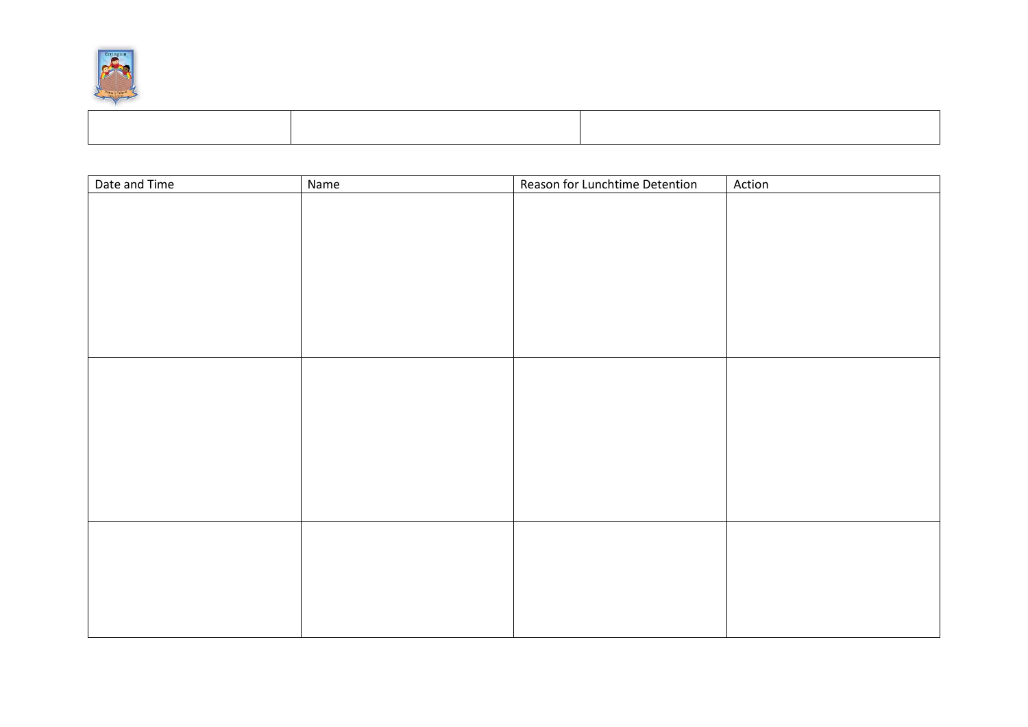

| Date and Time | Name | Reason for Lunchtime Detention | Action |
|---------------|------|--------------------------------|--------|
|               |      |                                |        |
|               |      |                                |        |
|               |      |                                |        |
|               |      |                                |        |
|               |      |                                |        |
|               |      |                                |        |
|               |      |                                |        |
|               |      |                                |        |
|               |      |                                |        |
|               |      |                                |        |
|               |      |                                |        |
|               |      |                                |        |
|               |      |                                |        |
|               |      |                                |        |
|               |      |                                |        |
|               |      |                                |        |
|               |      |                                |        |
|               |      |                                |        |
|               |      |                                |        |
|               |      |                                |        |
|               |      |                                |        |
|               |      |                                |        |
|               |      |                                |        |
|               |      |                                |        |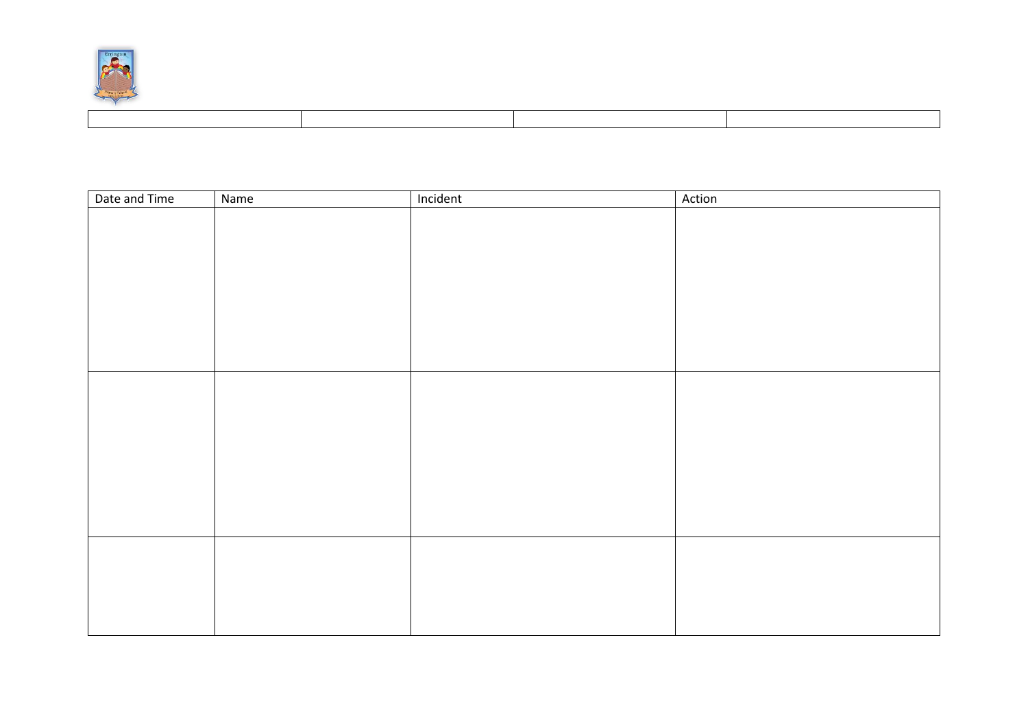

| Date and Time | Name | Incident | Action |
|---------------|------|----------|--------|
|               |      |          |        |
|               |      |          |        |
|               |      |          |        |
|               |      |          |        |
|               |      |          |        |
|               |      |          |        |
|               |      |          |        |
|               |      |          |        |
|               |      |          |        |
|               |      |          |        |
|               |      |          |        |
|               |      |          |        |
|               |      |          |        |
|               |      |          |        |
|               |      |          |        |
|               |      |          |        |
|               |      |          |        |
|               |      |          |        |
|               |      |          |        |
|               |      |          |        |
|               |      |          |        |
|               |      |          |        |
|               |      |          |        |
|               |      |          |        |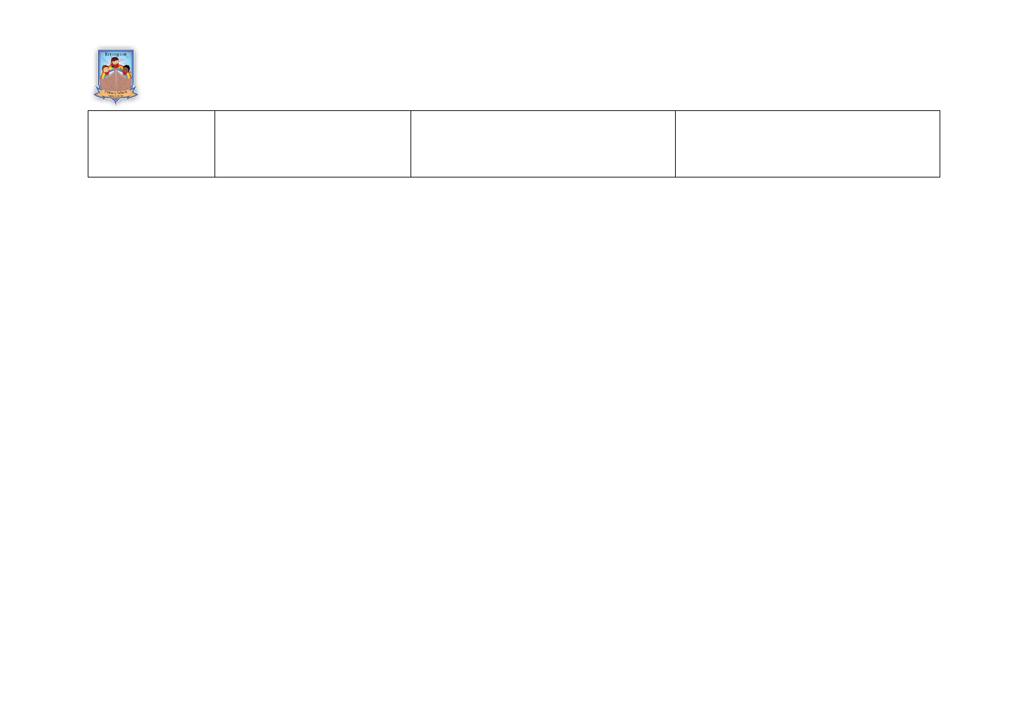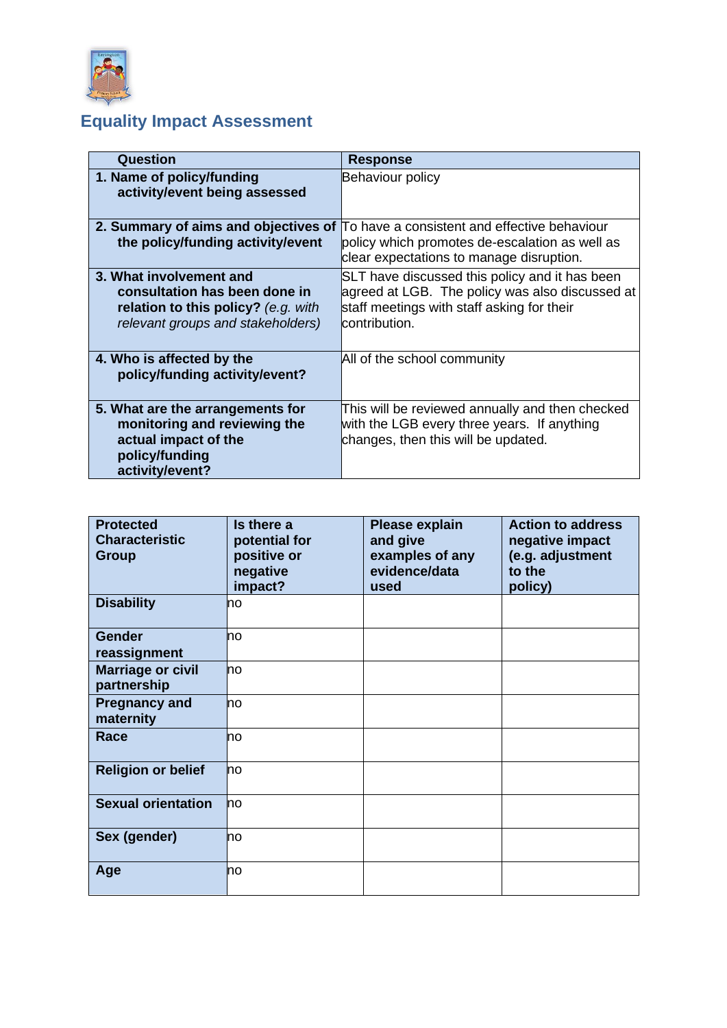

### **Equality Impact Assessment**

| Question                                                                                                                             | <b>Response</b>                                                                                                                                                  |
|--------------------------------------------------------------------------------------------------------------------------------------|------------------------------------------------------------------------------------------------------------------------------------------------------------------|
| 1. Name of policy/funding<br>activity/event being assessed                                                                           | Behaviour policy                                                                                                                                                 |
| 2. Summary of aims and objectives of<br>the policy/funding activity/event                                                            | ITo have a consistent and effective behaviour<br>policy which promotes de-escalation as well as<br>clear expectations to manage disruption.                      |
| 3. What involvement and<br>consultation has been done in<br>relation to this policy? (e.g. with<br>relevant groups and stakeholders) | SLT have discussed this policy and it has been<br>agreed at LGB. The policy was also discussed at<br>staff meetings with staff asking for their<br>contribution. |
| 4. Who is affected by the<br>policy/funding activity/event?                                                                          | All of the school community                                                                                                                                      |
| 5. What are the arrangements for<br>monitoring and reviewing the<br>actual impact of the<br>policy/funding<br>activity/event?        | This will be reviewed annually and then checked<br>with the LGB every three years. If anything<br>changes, then this will be updated.                            |

| <b>Protected</b><br><b>Characteristic</b><br><b>Group</b> | Is there a<br>potential for<br>positive or<br>negative<br>impact? | <b>Please explain</b><br>and give<br>examples of any<br>evidence/data<br>used | <b>Action to address</b><br>negative impact<br>(e.g. adjustment<br>to the<br>policy) |
|-----------------------------------------------------------|-------------------------------------------------------------------|-------------------------------------------------------------------------------|--------------------------------------------------------------------------------------|
| <b>Disability</b>                                         | <b>no</b>                                                         |                                                                               |                                                                                      |
| <b>Gender</b><br>reassignment                             | <b>no</b>                                                         |                                                                               |                                                                                      |
| <b>Marriage or civil</b><br>partnership                   | <b>no</b>                                                         |                                                                               |                                                                                      |
| <b>Pregnancy and</b><br>maternity                         | <b>no</b>                                                         |                                                                               |                                                                                      |
| <b>Race</b>                                               | <b>no</b>                                                         |                                                                               |                                                                                      |
| <b>Religion or belief</b>                                 | <b>no</b>                                                         |                                                                               |                                                                                      |
| <b>Sexual orientation</b>                                 | <b>no</b>                                                         |                                                                               |                                                                                      |
| Sex (gender)                                              | <b>no</b>                                                         |                                                                               |                                                                                      |
| Age                                                       | <b>no</b>                                                         |                                                                               |                                                                                      |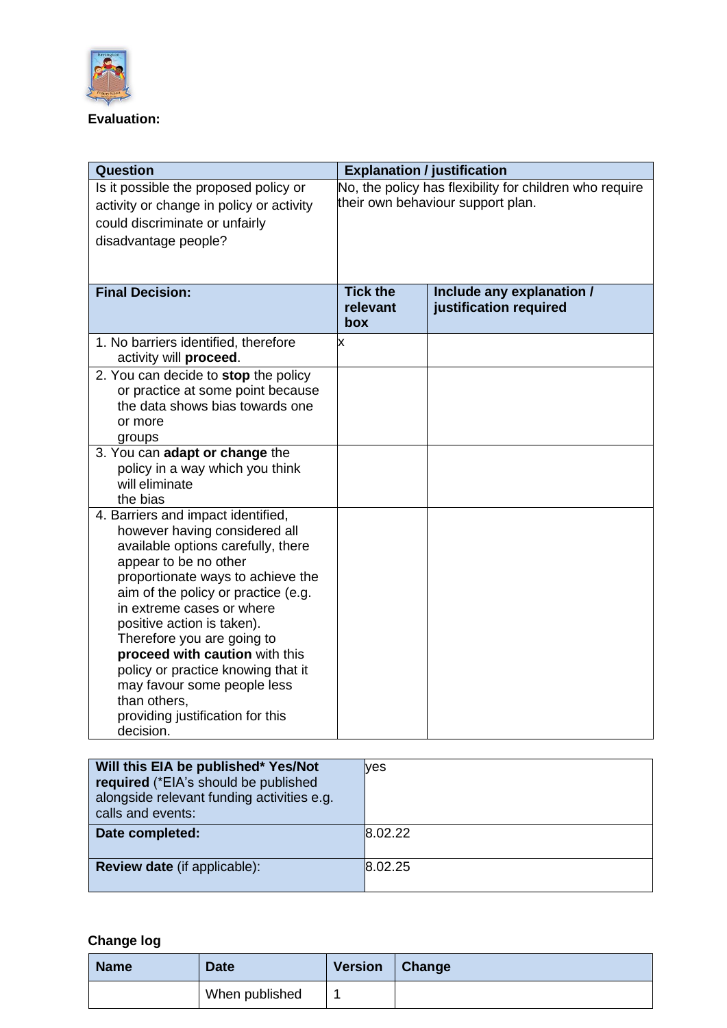

#### $\overline{a}$ **Evaluation:**

| <b>Question</b>                                                                                                                                                                                                                                                                                                                                                                                                                                                                 |                                                                                              | <b>Explanation / justification</b>                  |
|---------------------------------------------------------------------------------------------------------------------------------------------------------------------------------------------------------------------------------------------------------------------------------------------------------------------------------------------------------------------------------------------------------------------------------------------------------------------------------|----------------------------------------------------------------------------------------------|-----------------------------------------------------|
| Is it possible the proposed policy or<br>activity or change in policy or activity<br>could discriminate or unfairly                                                                                                                                                                                                                                                                                                                                                             | No, the policy has flexibility for children who require<br>their own behaviour support plan. |                                                     |
| disadvantage people?                                                                                                                                                                                                                                                                                                                                                                                                                                                            |                                                                                              |                                                     |
| <b>Final Decision:</b>                                                                                                                                                                                                                                                                                                                                                                                                                                                          | <b>Tick the</b><br>relevant<br>box                                                           | Include any explanation /<br>justification required |
| 1. No barriers identified, therefore<br>activity will proceed.                                                                                                                                                                                                                                                                                                                                                                                                                  | x                                                                                            |                                                     |
| 2. You can decide to stop the policy<br>or practice at some point because<br>the data shows bias towards one<br>or more<br>groups                                                                                                                                                                                                                                                                                                                                               |                                                                                              |                                                     |
| 3. You can adapt or change the<br>policy in a way which you think<br>will eliminate<br>the bias                                                                                                                                                                                                                                                                                                                                                                                 |                                                                                              |                                                     |
| 4. Barriers and impact identified,<br>however having considered all<br>available options carefully, there<br>appear to be no other<br>proportionate ways to achieve the<br>aim of the policy or practice (e.g.<br>in extreme cases or where<br>positive action is taken).<br>Therefore you are going to<br>proceed with caution with this<br>policy or practice knowing that it<br>may favour some people less<br>than others,<br>providing justification for this<br>decision. |                                                                                              |                                                     |

| Will this EIA be published* Yes/Not<br>required (*EIA's should be published<br>alongside relevant funding activities e.g.<br>calls and events: | <b>Nes</b> |
|------------------------------------------------------------------------------------------------------------------------------------------------|------------|
| Date completed:                                                                                                                                | 8.02.22    |
| <b>Review date (if applicable):</b>                                                                                                            | 8.02.25    |

#### **Change log**

| <b>Name</b> | <b>Date</b>    | <b>Version</b> | <b>Change</b> |
|-------------|----------------|----------------|---------------|
|             | When published |                |               |